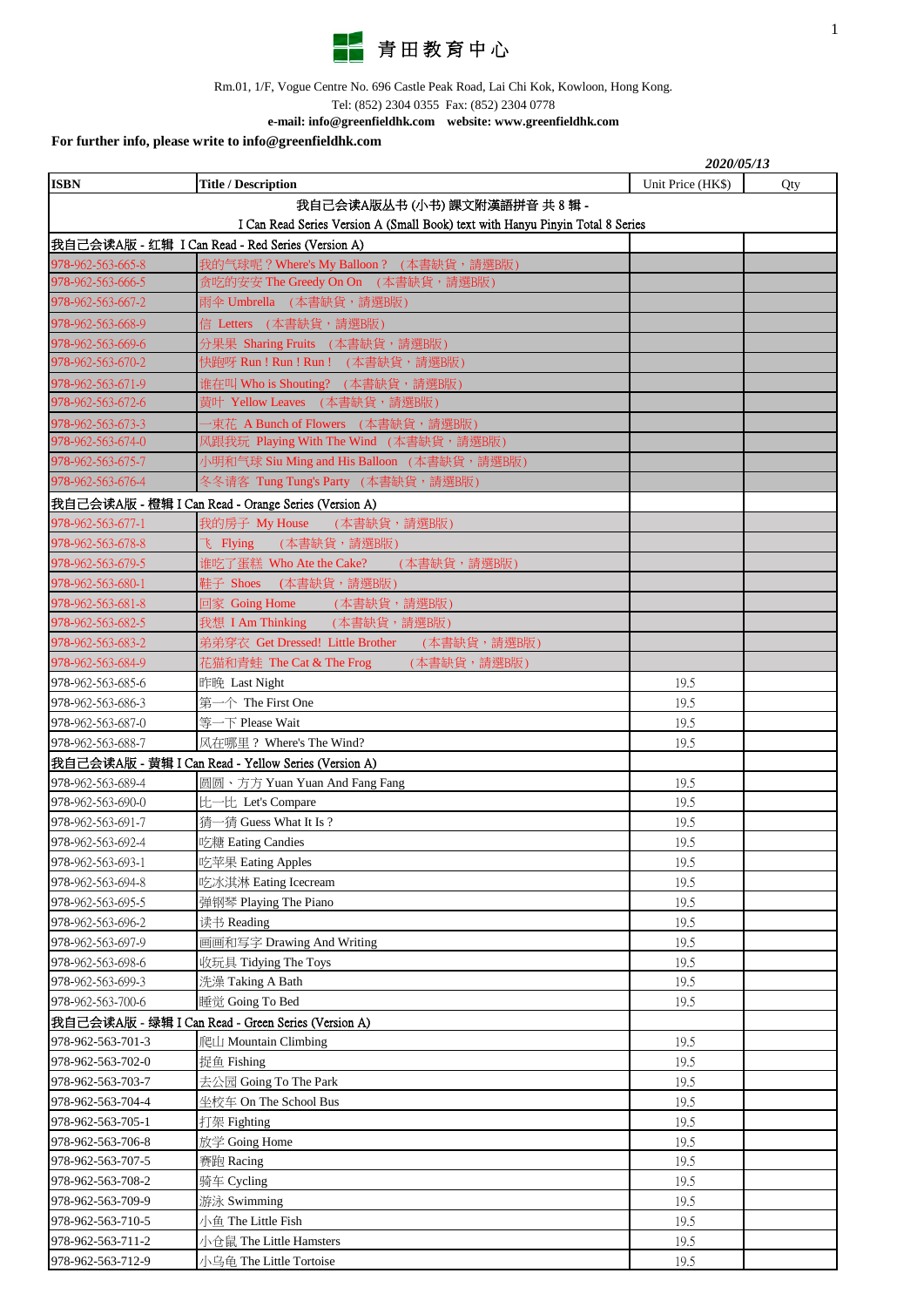

**e-mail: info@greenfieldhk.com website: www.greenfieldhk.com**

|                   |                                                                                                                  | 2020/05/13        |     |
|-------------------|------------------------------------------------------------------------------------------------------------------|-------------------|-----|
| <b>ISBN</b>       | <b>Title / Description</b>                                                                                       | Unit Price (HK\$) | Qty |
|                   | 我自己会读A版丛书 (小书) 課文附漢語拼音 共 8 辑 -<br>I Can Read Series Version A (Small Book) text with Hanyu Pinyin Total 8 Series |                   |     |
|                   | 我自己会读A版 - 红辑 I Can Read - Red Series (Version A)                                                                 |                   |     |
| 978-962-563-665-8 | 我的气球呢?Where's My Balloon ? (本書缺貨,請選B版)                                                                           |                   |     |
| 978-962-563-666-5 | 贪吃的安安 The Greedy On On (本書缺貨,請選B版)                                                                               |                   |     |
| 978-962-563-667-2 | 雨伞 Umbrella (本書缺貨,請選B版)                                                                                          |                   |     |
| 978-962-563-668-9 | 信 Letters (本書缺貨,請選B版)                                                                                            |                   |     |
| 978-962-563-669-6 | 分果果 Sharing Fruits (本書缺貨,請選B版)                                                                                   |                   |     |
| 978-962-563-670-2 | 快跑呀 Run ! Run ! Run ! (本書缺貨,請選B版)                                                                                |                   |     |
| 978-962-563-671-9 | 谁在叫 Who is Shouting? (本書缺貨,請選B版)                                                                                 |                   |     |
| 978-962-563-672-6 | 黄叶 Yellow Leaves (本書缺貨,請選B版)                                                                                     |                   |     |
| 978-962-563-673-3 | -束花 A Bunch of Flowers (本書缺貨,請選B版)                                                                               |                   |     |
| 978-962-563-674-0 | 风跟我玩 Playing With The Wind (本書缺貨,請選B版)                                                                           |                   |     |
| 978-962-563-675-7 | 小明和气球 Siu Ming and His Balloon (本書缺貨,請選B版)                                                                       |                   |     |
| 978-962-563-676-4 | 冬冬请客 Tung Tung's Party (本書缺貨,請選B版)                                                                               |                   |     |
|                   | 我自己会读A版 - 橙辑 I Can Read - Orange Series (Version A)                                                              |                   |     |
| 978-962-563-677-1 | 我的房子 My House<br>(本書缺貨,請選B版)                                                                                     |                   |     |
| 978-962-563-678-8 | (本書缺貨,請選B版)<br><b>&amp;</b> Flying                                                                               |                   |     |
| 978-962-563-679-5 | 谁吃了蛋糕 Who Ate the Cake?                                                                                          |                   |     |
| 978-962-563-680-1 | 鞋子 Shoes (本書缺貨,請選B版)                                                                                             |                   |     |
| 978-962-563-681-8 | 回家 Going Home (本書缺貨,請選B版)                                                                                        |                   |     |
| 978-962-563-682-5 | 我想 I Am Thinking (本書缺貨,請選B版)                                                                                     |                   |     |
| 978-962-563-683-2 | 弟弟穿衣 Get Dressed! Little Brother (本書缺貨,請選B版)                                                                     |                   |     |
| 978-962-563-684-9 | 花猫和青蛙 The Cat & The Frog (本書缺貨,請選B版)                                                                             |                   |     |
| 978-962-563-685-6 | 昨晚 Last Night                                                                                                    | 19.5              |     |
| 978-962-563-686-3 | 第一个 The First One                                                                                                | 19.5              |     |
| 978-962-563-687-0 | 等一下 Please Wait                                                                                                  | 19.5              |     |
| 978-962-563-688-7 | 风在哪里? Where's The Wind?                                                                                          | 19.5              |     |
|                   | 我自己会读A版 - 黄辑 I Can Read - Yellow Series (Version A)                                                              |                   |     |
| 978-962-563-689-4 | 圆圆、方方 Yuan Yuan And Fang Fang                                                                                    | 19.5              |     |
| 978-962-563-690-0 | 比一比 Let's Compare                                                                                                | 19.5              |     |
| 978-962-563-691-7 | 猜一猜 Guess What It Is?                                                                                            | 19.5              |     |
| 978-962-563-692-4 | 吃糖 Eating Candies                                                                                                | 19.5              |     |
| 978-962-563-693-1 | 吃苹果 Eating Apples                                                                                                | 19.5              |     |
| 978-962-563-694-8 | 吃冰淇淋 Eating Icecream                                                                                             | 19.5              |     |
| 978-962-563-695-5 | 弹钢琴 Playing The Piano                                                                                            | 19.5              |     |
| 978-962-563-696-2 | 读书 Reading                                                                                                       | 19.5              |     |
| 978-962-563-697-9 | 画画和写字 Drawing And Writing                                                                                        | 19.5              |     |
| 978-962-563-698-6 | 收玩具 Tidying The Toys                                                                                             | 19.5              |     |
| 978-962-563-699-3 | 洗澡 Taking A Bath                                                                                                 | 19.5              |     |
| 978-962-563-700-6 | 睡觉 Going To Bed                                                                                                  | 19.5              |     |
|                   | 我自己会读A版 - 绿辑 I Can Read - Green Series (Version A)                                                               |                   |     |
| 978-962-563-701-3 | 爬山 Mountain Climbing                                                                                             | 19.5              |     |
| 978-962-563-702-0 | 捉鱼 Fishing                                                                                                       | 19.5              |     |
| 978-962-563-703-7 | 去公园 Going To The Park                                                                                            | 19.5              |     |
| 978-962-563-704-4 | 坐校车 On The School Bus                                                                                            | 19.5              |     |
| 978-962-563-705-1 | 打架 Fighting                                                                                                      | 19.5              |     |
| 978-962-563-706-8 | 放学 Going Home                                                                                                    | 19.5              |     |
| 978-962-563-707-5 | 赛跑 Racing                                                                                                        | 19.5              |     |
| 978-962-563-708-2 | 骑车 Cycling                                                                                                       | 19.5              |     |
| 978-962-563-709-9 | 游泳 Swimming                                                                                                      | 19.5              |     |
| 978-962-563-710-5 | 小鱼 The Little Fish                                                                                               | 19.5              |     |
| 978-962-563-711-2 | 小仓鼠 The Little Hamsters                                                                                          | 19.5              |     |
| 978-962-563-712-9 | 小乌龟 The Little Tortoise                                                                                          | 19.5              |     |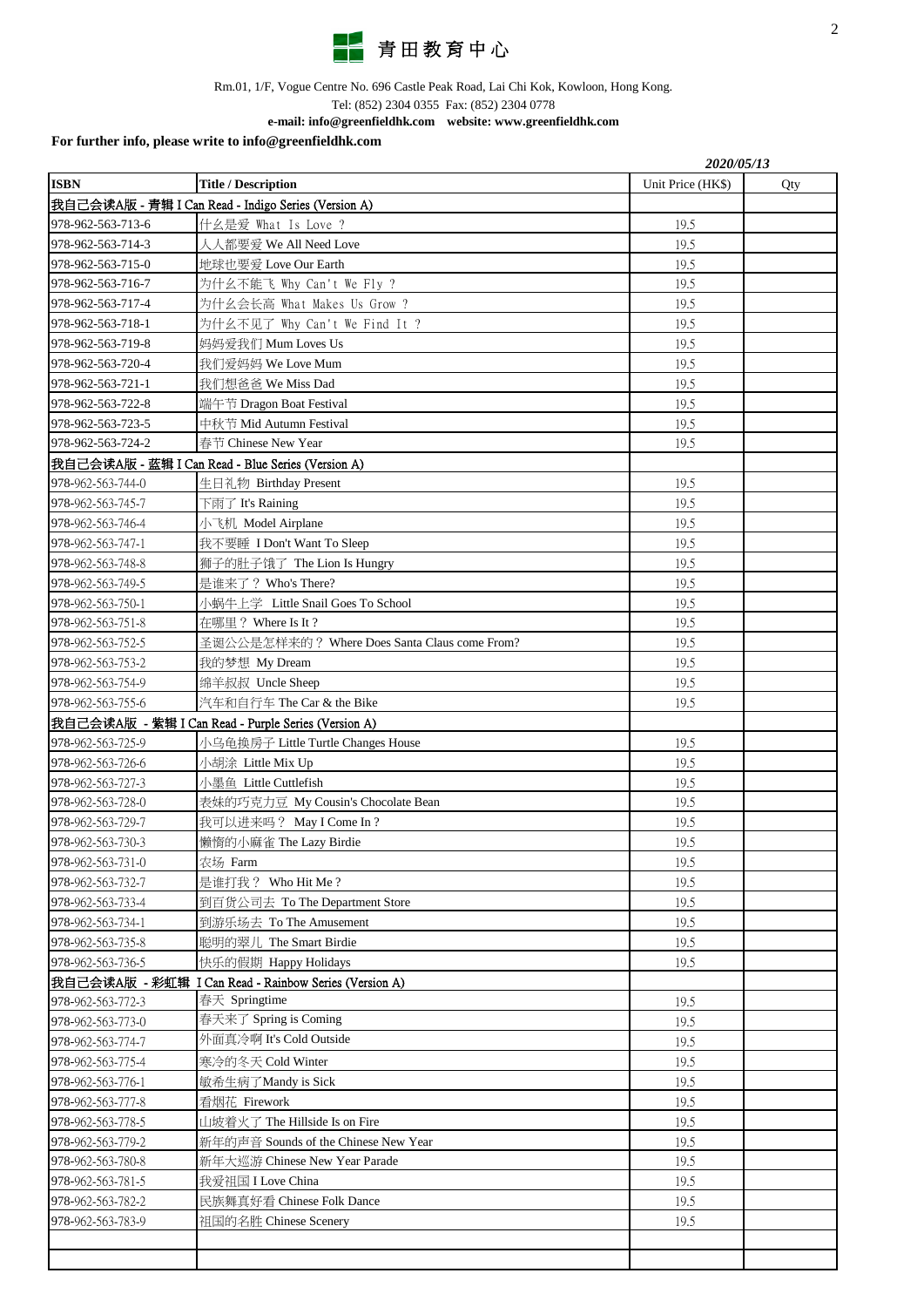

#### **e-mail: info@greenfieldhk.com website: www.greenfieldhk.com**

|                   |                                                       | 2020/05/13        |     |  |
|-------------------|-------------------------------------------------------|-------------------|-----|--|
| <b>ISBN</b>       | <b>Title / Description</b>                            | Unit Price (HK\$) | Qty |  |
|                   | 我自己会读A版 - 青辑 I Can Read - Indigo Series (Version A)   |                   |     |  |
| 978-962-563-713-6 | 什么是爱 What Is Love ?                                   | 19.5              |     |  |
| 978-962-563-714-3 | 人人都要爱 We All Need Love                                | 19.5              |     |  |
| 978-962-563-715-0 | 地球也要爱 Love Our Earth                                  | 19.5              |     |  |
| 978-962-563-716-7 | 为什幺不能飞 Why Can't We Fly ?                             | 19.5              |     |  |
| 978-962-563-717-4 | 为什么会长高 What Makes Us Grow ?                           | 19.5              |     |  |
| 978-962-563-718-1 | 为什幺不见了 Why Can't We Find It ?                         | 19.5              |     |  |
| 978-962-563-719-8 | 妈妈爱我们 Mum Loves Us                                    | 19.5              |     |  |
| 978-962-563-720-4 | 我们爱妈妈 We Love Mum                                     | 19.5              |     |  |
| 978-962-563-721-1 | 我们想爸爸 We Miss Dad                                     | 19.5              |     |  |
| 978-962-563-722-8 | 端午节 Dragon Boat Festival                              | 19.5              |     |  |
| 978-962-563-723-5 | 中秋节 Mid Autumn Festival                               | 19.5              |     |  |
| 978-962-563-724-2 | 春节 Chinese New Year                                   | 19.5              |     |  |
|                   | 我自己会读A版 - 蓝辑 I Can Read - Blue Series (Version A)     |                   |     |  |
| 978-962-563-744-0 | 生日礼物 Birthday Present                                 | 19.5              |     |  |
| 978-962-563-745-7 | 下雨了 It's Raining                                      | 19.5              |     |  |
| 978-962-563-746-4 | 小飞机 Model Airplane                                    | 19.5              |     |  |
| 978-962-563-747-1 | 我不要睡 I Don't Want To Sleep                            | 19.5              |     |  |
| 978-962-563-748-8 | 狮子的肚子饿了 The Lion Is Hungry                            | 19.5              |     |  |
| 978-962-563-749-5 | 是谁来了? Who's There?                                    | 19.5              |     |  |
| 978-962-563-750-1 | 小蜗牛上学 Little Snail Goes To School                     | 19.5              |     |  |
| 978-962-563-751-8 | 在哪里? Where Is It?                                     | 19.5              |     |  |
| 978-962-563-752-5 | 圣诞公公是怎样来的? Where Does Santa Claus come From?          | 19.5              |     |  |
| 978-962-563-753-2 | 我的梦想 My Dream                                         | 19.5              |     |  |
| 978-962-563-754-9 | 绵羊叔叔 Uncle Sheep                                      | 19.5              |     |  |
| 978-962-563-755-6 | 汽车和自行车 The Car & the Bike                             | 19.5              |     |  |
|                   | 我自己会读A版 - 紫辑 I Can Read - Purple Series (Version A)   |                   |     |  |
| 978-962-563-725-9 | 小乌龟换房子 Little Turtle Changes House                    | 19.5              |     |  |
| 978-962-563-726-6 | 小胡涂 Little Mix Up                                     | 19.5              |     |  |
| 978-962-563-727-3 | 小墨鱼 Little Cuttlefish                                 | 19.5              |     |  |
| 978-962-563-728-0 | 表妹的巧克力豆 My Cousin's Chocolate Bean                    | 19.5              |     |  |
| 978-962-563-729-7 | 我可以进来吗? May I Come In ?                               | 19.5              |     |  |
| 978-962-563-730-3 | 懒惰的小麻雀 The Lazy Birdie                                | 19.5              |     |  |
| 978-962-563-731-0 | 农场 Farm                                               | 19.5              |     |  |
| 978-962-563-732-7 | 是谁打我? Who Hit Me?                                     | 19.5              |     |  |
| 978-962-563-733-4 | 到百货公司去 To The Department Store                        | 19.5              |     |  |
| 978-962-563-734-1 | 到游乐场去 To The Amusement                                | 19.5              |     |  |
| 978-962-563-735-8 | 聪明的翠儿 The Smart Birdie                                | 19.5              |     |  |
| 978-962-563-736-5 | 快乐的假期 Happy Holidays                                  | 19.5              |     |  |
|                   | 我自己会读A版 - 彩虹辑 I Can Read - Rainbow Series (Version A) |                   |     |  |
| 978-962-563-772-3 | 春天 Springtime                                         | 19.5              |     |  |
| 978-962-563-773-0 | 春天来了 Spring is Coming                                 | 19.5              |     |  |
| 978-962-563-774-7 | 外面真冷啊 It's Cold Outside                               | 19.5              |     |  |
| 978-962-563-775-4 | 寒冷的冬天 Cold Winter                                     | 19.5              |     |  |
| 978-962-563-776-1 | 敏希生病了Mandy is Sick                                    | 19.5              |     |  |
| 978-962-563-777-8 | 看烟花 Firework                                          | 19.5              |     |  |
| 978-962-563-778-5 | 山坡着火了 The Hillside Is on Fire                         | 19.5              |     |  |
| 978-962-563-779-2 | 新年的声音 Sounds of the Chinese New Year                  | 19.5              |     |  |
| 978-962-563-780-8 | 新年大巡游 Chinese New Year Parade                         | 19.5              |     |  |
| 978-962-563-781-5 | 我爱祖国 I Love China                                     | 19.5              |     |  |
| 978-962-563-782-2 | 民族舞真好看 Chinese Folk Dance                             | 19.5              |     |  |
| 978-962-563-783-9 | 祖国的名胜 Chinese Scenery                                 | 19.5              |     |  |
|                   |                                                       |                   |     |  |
|                   |                                                       |                   |     |  |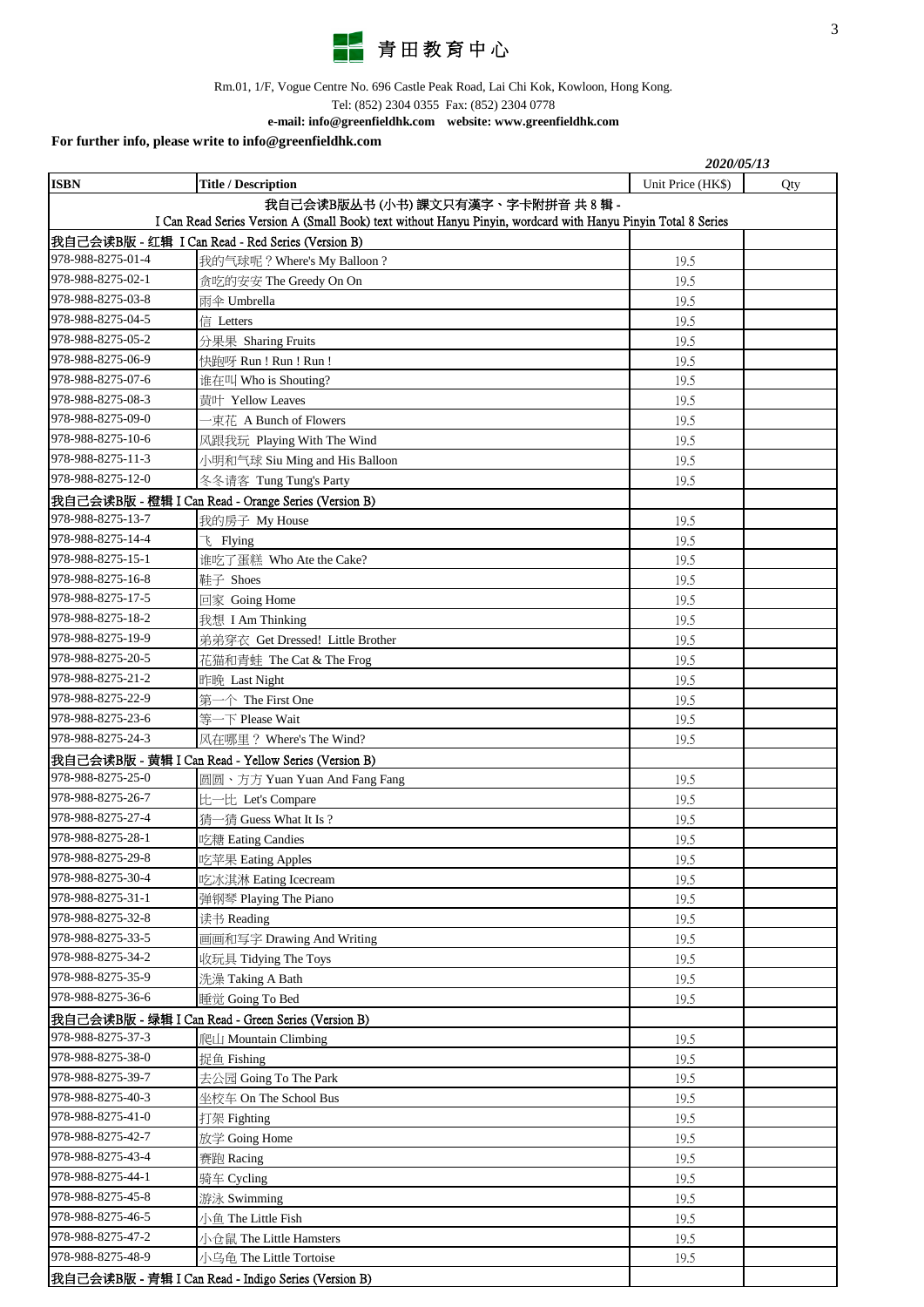

**e-mail: info@greenfieldhk.com website: www.greenfieldhk.com**

| <b>ISBN</b><br><b>Title / Description</b><br>Unit Price (HK\$)<br>Qty<br>我自己会读B版丛书 (小书) 課文只有漢字、字卡附拼音 共8辑 -<br>I Can Read Series Version A (Small Book) text without Hanyu Pinyin, wordcard with Hanyu Pinyin Total 8 Series<br>我自己会读B版 - 红辑 I Can Read - Red Series (Version B)<br>978-988-8275-01-4<br>我的气球呢? Where's My Balloon?<br>19.5<br>978-988-8275-02-1<br>贪吃的安安 The Greedy On On<br>19.5<br>978-988-8275-03-8<br>雨伞 Umbrella<br>19.5<br>978-988-8275-04-5<br>信 Letters<br>19.5<br>978-988-8275-05-2<br>分果果 Sharing Fruits<br>19.5<br>978-988-8275-06-9<br>快跑呀 Run ! Run ! Run !<br>19.5<br>978-988-8275-07-6<br>谁在叫 Who is Shouting?<br>19.5<br>978-988-8275-08-3<br>黄叶 Yellow Leaves<br>19.5<br>978-988-8275-09-0<br>-束花 A Bunch of Flowers<br>19.5<br>978-988-8275-10-6<br>风跟我玩 Playing With The Wind<br>19.5<br>978-988-8275-11-3<br>小明和气球 Siu Ming and His Balloon<br>19.5<br>978-988-8275-12-0<br>冬冬请客 Tung Tung's Party<br>19.5<br>我自己会读B版 - 橙辑 I Can Read - Orange Series (Version B)<br>978-988-8275-13-7<br>我的房子 My House<br>19.5<br>978-988-8275-14-4<br>飞 Flying<br>19.5<br>978-988-8275-15-1<br>谁吃了蛋糕 Who Ate the Cake?<br>19.5<br>978-988-8275-16-8<br>鞋子 Shoes<br>19.5<br>978-988-8275-17-5<br>回家 Going Home<br>19.5<br>978-988-8275-18-2<br>我想 I Am Thinking<br>19.5<br>978-988-8275-19-9<br>弟弟穿衣 Get Dressed! Little Brother<br>19.5<br>978-988-8275-20-5<br>花猫和青蛙 The Cat & The Frog<br>19.5<br>978-988-8275-21-2<br>昨晚 Last Night<br>19.5<br>978-988-8275-22-9<br>第一个 The First One<br>19.5<br>978-988-8275-23-6<br>等一下 Please Wait<br>19.5<br>978-988-8275-24-3<br>风在哪里? Where's The Wind?<br>19.5<br>我自己会读B版 - 黄辑 I Can Read - Yellow Series (Version B)<br>圆圆、方方 Yuan Yuan And Fang Fang<br>19.5<br>978-988-8275-26-7<br>比一比 Let's Compare<br>19.5<br>978-988-8275-27-4<br>猜一猜 Guess What It Is?<br>19.5<br>978-988-8275-28-1<br>吃糖 Eating Candies<br>19.5<br>978-988-8275-29-8<br>吃苹果 Eating Apples<br>19.5<br>978-988-8275-30-4<br>吃冰淇淋 Eating Icecream<br>19.5<br>978-988-8275-31-1<br>弹钢琴 Playing The Piano<br>19.5<br>978-988-8275-32-8<br>读书 Reading<br>19.5<br>978-988-8275-33-5<br>画画和写字 Drawing And Writing<br>19.5<br>978-988-8275-34-2<br>收玩具 Tidying The Toys<br>19.5<br>978-988-8275-35-9<br>洗澡 Taking A Bath<br>19.5<br>978-988-8275-36-6<br>睡觉 Going To Bed<br>19.5<br>我自己会读B版 - 绿辑 I Can Read - Green Series (Version B)<br>978-988-8275-37-3<br>爬山 Mountain Climbing<br>19.5<br>978-988-8275-38-0<br>捉鱼 Fishing<br>19.5<br>978-988-8275-39-7<br>去公园 Going To The Park<br>19.5<br>978-988-8275-40-3<br>坐校车 On The School Bus<br>19.5<br>978-988-8275-41-0<br>打架 Fighting<br>19.5<br>放学 Going Home<br>19.5<br>978-988-8275-43-4<br>赛跑 Racing<br>19.5<br>978-988-8275-44-1<br>骑车 Cycling<br>19.5<br>978-988-8275-45-8<br>游泳 Swimming<br>19.5<br>978-988-8275-46-5<br>小鱼 The Little Fish<br>19.5<br>978-988-8275-47-2<br>小仓鼠 The Little Hamsters<br>19.5<br>978-988-8275-48-9<br>小乌龟 The Little Tortoise<br>19.5<br> 我自己会读B版 - 青辑 I Can Read - Indigo Series (Version B) |                   | 2020/05/13 |  |
|---------------------------------------------------------------------------------------------------------------------------------------------------------------------------------------------------------------------------------------------------------------------------------------------------------------------------------------------------------------------------------------------------------------------------------------------------------------------------------------------------------------------------------------------------------------------------------------------------------------------------------------------------------------------------------------------------------------------------------------------------------------------------------------------------------------------------------------------------------------------------------------------------------------------------------------------------------------------------------------------------------------------------------------------------------------------------------------------------------------------------------------------------------------------------------------------------------------------------------------------------------------------------------------------------------------------------------------------------------------------------------------------------------------------------------------------------------------------------------------------------------------------------------------------------------------------------------------------------------------------------------------------------------------------------------------------------------------------------------------------------------------------------------------------------------------------------------------------------------------------------------------------------------------------------------------------------------------------------------------------------------------------------------------------------------------------------------------------------------------------------------------------------------------------------------------------------------------------------------------------------------------------------------------------------------------------------------------------------------------------------------------------------------------------------------------------------------------------------------------------------------------------------------------------------------------------------------------------------------------------------------------------------------------------------------------------------------------------------------------------------------------------------------------------------------------------------------------------------------------------------------------------------------------------------------------------------------------------------------------------------------------------|-------------------|------------|--|
|                                                                                                                                                                                                                                                                                                                                                                                                                                                                                                                                                                                                                                                                                                                                                                                                                                                                                                                                                                                                                                                                                                                                                                                                                                                                                                                                                                                                                                                                                                                                                                                                                                                                                                                                                                                                                                                                                                                                                                                                                                                                                                                                                                                                                                                                                                                                                                                                                                                                                                                                                                                                                                                                                                                                                                                                                                                                                                                                                                                                                     |                   |            |  |
|                                                                                                                                                                                                                                                                                                                                                                                                                                                                                                                                                                                                                                                                                                                                                                                                                                                                                                                                                                                                                                                                                                                                                                                                                                                                                                                                                                                                                                                                                                                                                                                                                                                                                                                                                                                                                                                                                                                                                                                                                                                                                                                                                                                                                                                                                                                                                                                                                                                                                                                                                                                                                                                                                                                                                                                                                                                                                                                                                                                                                     |                   |            |  |
|                                                                                                                                                                                                                                                                                                                                                                                                                                                                                                                                                                                                                                                                                                                                                                                                                                                                                                                                                                                                                                                                                                                                                                                                                                                                                                                                                                                                                                                                                                                                                                                                                                                                                                                                                                                                                                                                                                                                                                                                                                                                                                                                                                                                                                                                                                                                                                                                                                                                                                                                                                                                                                                                                                                                                                                                                                                                                                                                                                                                                     |                   |            |  |
|                                                                                                                                                                                                                                                                                                                                                                                                                                                                                                                                                                                                                                                                                                                                                                                                                                                                                                                                                                                                                                                                                                                                                                                                                                                                                                                                                                                                                                                                                                                                                                                                                                                                                                                                                                                                                                                                                                                                                                                                                                                                                                                                                                                                                                                                                                                                                                                                                                                                                                                                                                                                                                                                                                                                                                                                                                                                                                                                                                                                                     |                   |            |  |
|                                                                                                                                                                                                                                                                                                                                                                                                                                                                                                                                                                                                                                                                                                                                                                                                                                                                                                                                                                                                                                                                                                                                                                                                                                                                                                                                                                                                                                                                                                                                                                                                                                                                                                                                                                                                                                                                                                                                                                                                                                                                                                                                                                                                                                                                                                                                                                                                                                                                                                                                                                                                                                                                                                                                                                                                                                                                                                                                                                                                                     |                   |            |  |
|                                                                                                                                                                                                                                                                                                                                                                                                                                                                                                                                                                                                                                                                                                                                                                                                                                                                                                                                                                                                                                                                                                                                                                                                                                                                                                                                                                                                                                                                                                                                                                                                                                                                                                                                                                                                                                                                                                                                                                                                                                                                                                                                                                                                                                                                                                                                                                                                                                                                                                                                                                                                                                                                                                                                                                                                                                                                                                                                                                                                                     |                   |            |  |
|                                                                                                                                                                                                                                                                                                                                                                                                                                                                                                                                                                                                                                                                                                                                                                                                                                                                                                                                                                                                                                                                                                                                                                                                                                                                                                                                                                                                                                                                                                                                                                                                                                                                                                                                                                                                                                                                                                                                                                                                                                                                                                                                                                                                                                                                                                                                                                                                                                                                                                                                                                                                                                                                                                                                                                                                                                                                                                                                                                                                                     |                   |            |  |
|                                                                                                                                                                                                                                                                                                                                                                                                                                                                                                                                                                                                                                                                                                                                                                                                                                                                                                                                                                                                                                                                                                                                                                                                                                                                                                                                                                                                                                                                                                                                                                                                                                                                                                                                                                                                                                                                                                                                                                                                                                                                                                                                                                                                                                                                                                                                                                                                                                                                                                                                                                                                                                                                                                                                                                                                                                                                                                                                                                                                                     |                   |            |  |
|                                                                                                                                                                                                                                                                                                                                                                                                                                                                                                                                                                                                                                                                                                                                                                                                                                                                                                                                                                                                                                                                                                                                                                                                                                                                                                                                                                                                                                                                                                                                                                                                                                                                                                                                                                                                                                                                                                                                                                                                                                                                                                                                                                                                                                                                                                                                                                                                                                                                                                                                                                                                                                                                                                                                                                                                                                                                                                                                                                                                                     |                   |            |  |
|                                                                                                                                                                                                                                                                                                                                                                                                                                                                                                                                                                                                                                                                                                                                                                                                                                                                                                                                                                                                                                                                                                                                                                                                                                                                                                                                                                                                                                                                                                                                                                                                                                                                                                                                                                                                                                                                                                                                                                                                                                                                                                                                                                                                                                                                                                                                                                                                                                                                                                                                                                                                                                                                                                                                                                                                                                                                                                                                                                                                                     |                   |            |  |
|                                                                                                                                                                                                                                                                                                                                                                                                                                                                                                                                                                                                                                                                                                                                                                                                                                                                                                                                                                                                                                                                                                                                                                                                                                                                                                                                                                                                                                                                                                                                                                                                                                                                                                                                                                                                                                                                                                                                                                                                                                                                                                                                                                                                                                                                                                                                                                                                                                                                                                                                                                                                                                                                                                                                                                                                                                                                                                                                                                                                                     |                   |            |  |
|                                                                                                                                                                                                                                                                                                                                                                                                                                                                                                                                                                                                                                                                                                                                                                                                                                                                                                                                                                                                                                                                                                                                                                                                                                                                                                                                                                                                                                                                                                                                                                                                                                                                                                                                                                                                                                                                                                                                                                                                                                                                                                                                                                                                                                                                                                                                                                                                                                                                                                                                                                                                                                                                                                                                                                                                                                                                                                                                                                                                                     |                   |            |  |
|                                                                                                                                                                                                                                                                                                                                                                                                                                                                                                                                                                                                                                                                                                                                                                                                                                                                                                                                                                                                                                                                                                                                                                                                                                                                                                                                                                                                                                                                                                                                                                                                                                                                                                                                                                                                                                                                                                                                                                                                                                                                                                                                                                                                                                                                                                                                                                                                                                                                                                                                                                                                                                                                                                                                                                                                                                                                                                                                                                                                                     |                   |            |  |
|                                                                                                                                                                                                                                                                                                                                                                                                                                                                                                                                                                                                                                                                                                                                                                                                                                                                                                                                                                                                                                                                                                                                                                                                                                                                                                                                                                                                                                                                                                                                                                                                                                                                                                                                                                                                                                                                                                                                                                                                                                                                                                                                                                                                                                                                                                                                                                                                                                                                                                                                                                                                                                                                                                                                                                                                                                                                                                                                                                                                                     |                   |            |  |
|                                                                                                                                                                                                                                                                                                                                                                                                                                                                                                                                                                                                                                                                                                                                                                                                                                                                                                                                                                                                                                                                                                                                                                                                                                                                                                                                                                                                                                                                                                                                                                                                                                                                                                                                                                                                                                                                                                                                                                                                                                                                                                                                                                                                                                                                                                                                                                                                                                                                                                                                                                                                                                                                                                                                                                                                                                                                                                                                                                                                                     |                   |            |  |
|                                                                                                                                                                                                                                                                                                                                                                                                                                                                                                                                                                                                                                                                                                                                                                                                                                                                                                                                                                                                                                                                                                                                                                                                                                                                                                                                                                                                                                                                                                                                                                                                                                                                                                                                                                                                                                                                                                                                                                                                                                                                                                                                                                                                                                                                                                                                                                                                                                                                                                                                                                                                                                                                                                                                                                                                                                                                                                                                                                                                                     |                   |            |  |
|                                                                                                                                                                                                                                                                                                                                                                                                                                                                                                                                                                                                                                                                                                                                                                                                                                                                                                                                                                                                                                                                                                                                                                                                                                                                                                                                                                                                                                                                                                                                                                                                                                                                                                                                                                                                                                                                                                                                                                                                                                                                                                                                                                                                                                                                                                                                                                                                                                                                                                                                                                                                                                                                                                                                                                                                                                                                                                                                                                                                                     |                   |            |  |
|                                                                                                                                                                                                                                                                                                                                                                                                                                                                                                                                                                                                                                                                                                                                                                                                                                                                                                                                                                                                                                                                                                                                                                                                                                                                                                                                                                                                                                                                                                                                                                                                                                                                                                                                                                                                                                                                                                                                                                                                                                                                                                                                                                                                                                                                                                                                                                                                                                                                                                                                                                                                                                                                                                                                                                                                                                                                                                                                                                                                                     |                   |            |  |
|                                                                                                                                                                                                                                                                                                                                                                                                                                                                                                                                                                                                                                                                                                                                                                                                                                                                                                                                                                                                                                                                                                                                                                                                                                                                                                                                                                                                                                                                                                                                                                                                                                                                                                                                                                                                                                                                                                                                                                                                                                                                                                                                                                                                                                                                                                                                                                                                                                                                                                                                                                                                                                                                                                                                                                                                                                                                                                                                                                                                                     |                   |            |  |
|                                                                                                                                                                                                                                                                                                                                                                                                                                                                                                                                                                                                                                                                                                                                                                                                                                                                                                                                                                                                                                                                                                                                                                                                                                                                                                                                                                                                                                                                                                                                                                                                                                                                                                                                                                                                                                                                                                                                                                                                                                                                                                                                                                                                                                                                                                                                                                                                                                                                                                                                                                                                                                                                                                                                                                                                                                                                                                                                                                                                                     |                   |            |  |
|                                                                                                                                                                                                                                                                                                                                                                                                                                                                                                                                                                                                                                                                                                                                                                                                                                                                                                                                                                                                                                                                                                                                                                                                                                                                                                                                                                                                                                                                                                                                                                                                                                                                                                                                                                                                                                                                                                                                                                                                                                                                                                                                                                                                                                                                                                                                                                                                                                                                                                                                                                                                                                                                                                                                                                                                                                                                                                                                                                                                                     |                   |            |  |
|                                                                                                                                                                                                                                                                                                                                                                                                                                                                                                                                                                                                                                                                                                                                                                                                                                                                                                                                                                                                                                                                                                                                                                                                                                                                                                                                                                                                                                                                                                                                                                                                                                                                                                                                                                                                                                                                                                                                                                                                                                                                                                                                                                                                                                                                                                                                                                                                                                                                                                                                                                                                                                                                                                                                                                                                                                                                                                                                                                                                                     |                   |            |  |
|                                                                                                                                                                                                                                                                                                                                                                                                                                                                                                                                                                                                                                                                                                                                                                                                                                                                                                                                                                                                                                                                                                                                                                                                                                                                                                                                                                                                                                                                                                                                                                                                                                                                                                                                                                                                                                                                                                                                                                                                                                                                                                                                                                                                                                                                                                                                                                                                                                                                                                                                                                                                                                                                                                                                                                                                                                                                                                                                                                                                                     |                   |            |  |
|                                                                                                                                                                                                                                                                                                                                                                                                                                                                                                                                                                                                                                                                                                                                                                                                                                                                                                                                                                                                                                                                                                                                                                                                                                                                                                                                                                                                                                                                                                                                                                                                                                                                                                                                                                                                                                                                                                                                                                                                                                                                                                                                                                                                                                                                                                                                                                                                                                                                                                                                                                                                                                                                                                                                                                                                                                                                                                                                                                                                                     |                   |            |  |
|                                                                                                                                                                                                                                                                                                                                                                                                                                                                                                                                                                                                                                                                                                                                                                                                                                                                                                                                                                                                                                                                                                                                                                                                                                                                                                                                                                                                                                                                                                                                                                                                                                                                                                                                                                                                                                                                                                                                                                                                                                                                                                                                                                                                                                                                                                                                                                                                                                                                                                                                                                                                                                                                                                                                                                                                                                                                                                                                                                                                                     |                   |            |  |
|                                                                                                                                                                                                                                                                                                                                                                                                                                                                                                                                                                                                                                                                                                                                                                                                                                                                                                                                                                                                                                                                                                                                                                                                                                                                                                                                                                                                                                                                                                                                                                                                                                                                                                                                                                                                                                                                                                                                                                                                                                                                                                                                                                                                                                                                                                                                                                                                                                                                                                                                                                                                                                                                                                                                                                                                                                                                                                                                                                                                                     |                   |            |  |
|                                                                                                                                                                                                                                                                                                                                                                                                                                                                                                                                                                                                                                                                                                                                                                                                                                                                                                                                                                                                                                                                                                                                                                                                                                                                                                                                                                                                                                                                                                                                                                                                                                                                                                                                                                                                                                                                                                                                                                                                                                                                                                                                                                                                                                                                                                                                                                                                                                                                                                                                                                                                                                                                                                                                                                                                                                                                                                                                                                                                                     |                   |            |  |
|                                                                                                                                                                                                                                                                                                                                                                                                                                                                                                                                                                                                                                                                                                                                                                                                                                                                                                                                                                                                                                                                                                                                                                                                                                                                                                                                                                                                                                                                                                                                                                                                                                                                                                                                                                                                                                                                                                                                                                                                                                                                                                                                                                                                                                                                                                                                                                                                                                                                                                                                                                                                                                                                                                                                                                                                                                                                                                                                                                                                                     |                   |            |  |
|                                                                                                                                                                                                                                                                                                                                                                                                                                                                                                                                                                                                                                                                                                                                                                                                                                                                                                                                                                                                                                                                                                                                                                                                                                                                                                                                                                                                                                                                                                                                                                                                                                                                                                                                                                                                                                                                                                                                                                                                                                                                                                                                                                                                                                                                                                                                                                                                                                                                                                                                                                                                                                                                                                                                                                                                                                                                                                                                                                                                                     |                   |            |  |
|                                                                                                                                                                                                                                                                                                                                                                                                                                                                                                                                                                                                                                                                                                                                                                                                                                                                                                                                                                                                                                                                                                                                                                                                                                                                                                                                                                                                                                                                                                                                                                                                                                                                                                                                                                                                                                                                                                                                                                                                                                                                                                                                                                                                                                                                                                                                                                                                                                                                                                                                                                                                                                                                                                                                                                                                                                                                                                                                                                                                                     | 978-988-8275-25-0 |            |  |
|                                                                                                                                                                                                                                                                                                                                                                                                                                                                                                                                                                                                                                                                                                                                                                                                                                                                                                                                                                                                                                                                                                                                                                                                                                                                                                                                                                                                                                                                                                                                                                                                                                                                                                                                                                                                                                                                                                                                                                                                                                                                                                                                                                                                                                                                                                                                                                                                                                                                                                                                                                                                                                                                                                                                                                                                                                                                                                                                                                                                                     |                   |            |  |
|                                                                                                                                                                                                                                                                                                                                                                                                                                                                                                                                                                                                                                                                                                                                                                                                                                                                                                                                                                                                                                                                                                                                                                                                                                                                                                                                                                                                                                                                                                                                                                                                                                                                                                                                                                                                                                                                                                                                                                                                                                                                                                                                                                                                                                                                                                                                                                                                                                                                                                                                                                                                                                                                                                                                                                                                                                                                                                                                                                                                                     |                   |            |  |
|                                                                                                                                                                                                                                                                                                                                                                                                                                                                                                                                                                                                                                                                                                                                                                                                                                                                                                                                                                                                                                                                                                                                                                                                                                                                                                                                                                                                                                                                                                                                                                                                                                                                                                                                                                                                                                                                                                                                                                                                                                                                                                                                                                                                                                                                                                                                                                                                                                                                                                                                                                                                                                                                                                                                                                                                                                                                                                                                                                                                                     |                   |            |  |
|                                                                                                                                                                                                                                                                                                                                                                                                                                                                                                                                                                                                                                                                                                                                                                                                                                                                                                                                                                                                                                                                                                                                                                                                                                                                                                                                                                                                                                                                                                                                                                                                                                                                                                                                                                                                                                                                                                                                                                                                                                                                                                                                                                                                                                                                                                                                                                                                                                                                                                                                                                                                                                                                                                                                                                                                                                                                                                                                                                                                                     |                   |            |  |
|                                                                                                                                                                                                                                                                                                                                                                                                                                                                                                                                                                                                                                                                                                                                                                                                                                                                                                                                                                                                                                                                                                                                                                                                                                                                                                                                                                                                                                                                                                                                                                                                                                                                                                                                                                                                                                                                                                                                                                                                                                                                                                                                                                                                                                                                                                                                                                                                                                                                                                                                                                                                                                                                                                                                                                                                                                                                                                                                                                                                                     |                   |            |  |
|                                                                                                                                                                                                                                                                                                                                                                                                                                                                                                                                                                                                                                                                                                                                                                                                                                                                                                                                                                                                                                                                                                                                                                                                                                                                                                                                                                                                                                                                                                                                                                                                                                                                                                                                                                                                                                                                                                                                                                                                                                                                                                                                                                                                                                                                                                                                                                                                                                                                                                                                                                                                                                                                                                                                                                                                                                                                                                                                                                                                                     |                   |            |  |
|                                                                                                                                                                                                                                                                                                                                                                                                                                                                                                                                                                                                                                                                                                                                                                                                                                                                                                                                                                                                                                                                                                                                                                                                                                                                                                                                                                                                                                                                                                                                                                                                                                                                                                                                                                                                                                                                                                                                                                                                                                                                                                                                                                                                                                                                                                                                                                                                                                                                                                                                                                                                                                                                                                                                                                                                                                                                                                                                                                                                                     |                   |            |  |
|                                                                                                                                                                                                                                                                                                                                                                                                                                                                                                                                                                                                                                                                                                                                                                                                                                                                                                                                                                                                                                                                                                                                                                                                                                                                                                                                                                                                                                                                                                                                                                                                                                                                                                                                                                                                                                                                                                                                                                                                                                                                                                                                                                                                                                                                                                                                                                                                                                                                                                                                                                                                                                                                                                                                                                                                                                                                                                                                                                                                                     |                   |            |  |
|                                                                                                                                                                                                                                                                                                                                                                                                                                                                                                                                                                                                                                                                                                                                                                                                                                                                                                                                                                                                                                                                                                                                                                                                                                                                                                                                                                                                                                                                                                                                                                                                                                                                                                                                                                                                                                                                                                                                                                                                                                                                                                                                                                                                                                                                                                                                                                                                                                                                                                                                                                                                                                                                                                                                                                                                                                                                                                                                                                                                                     |                   |            |  |
|                                                                                                                                                                                                                                                                                                                                                                                                                                                                                                                                                                                                                                                                                                                                                                                                                                                                                                                                                                                                                                                                                                                                                                                                                                                                                                                                                                                                                                                                                                                                                                                                                                                                                                                                                                                                                                                                                                                                                                                                                                                                                                                                                                                                                                                                                                                                                                                                                                                                                                                                                                                                                                                                                                                                                                                                                                                                                                                                                                                                                     |                   |            |  |
|                                                                                                                                                                                                                                                                                                                                                                                                                                                                                                                                                                                                                                                                                                                                                                                                                                                                                                                                                                                                                                                                                                                                                                                                                                                                                                                                                                                                                                                                                                                                                                                                                                                                                                                                                                                                                                                                                                                                                                                                                                                                                                                                                                                                                                                                                                                                                                                                                                                                                                                                                                                                                                                                                                                                                                                                                                                                                                                                                                                                                     |                   |            |  |
|                                                                                                                                                                                                                                                                                                                                                                                                                                                                                                                                                                                                                                                                                                                                                                                                                                                                                                                                                                                                                                                                                                                                                                                                                                                                                                                                                                                                                                                                                                                                                                                                                                                                                                                                                                                                                                                                                                                                                                                                                                                                                                                                                                                                                                                                                                                                                                                                                                                                                                                                                                                                                                                                                                                                                                                                                                                                                                                                                                                                                     |                   |            |  |
|                                                                                                                                                                                                                                                                                                                                                                                                                                                                                                                                                                                                                                                                                                                                                                                                                                                                                                                                                                                                                                                                                                                                                                                                                                                                                                                                                                                                                                                                                                                                                                                                                                                                                                                                                                                                                                                                                                                                                                                                                                                                                                                                                                                                                                                                                                                                                                                                                                                                                                                                                                                                                                                                                                                                                                                                                                                                                                                                                                                                                     |                   |            |  |
|                                                                                                                                                                                                                                                                                                                                                                                                                                                                                                                                                                                                                                                                                                                                                                                                                                                                                                                                                                                                                                                                                                                                                                                                                                                                                                                                                                                                                                                                                                                                                                                                                                                                                                                                                                                                                                                                                                                                                                                                                                                                                                                                                                                                                                                                                                                                                                                                                                                                                                                                                                                                                                                                                                                                                                                                                                                                                                                                                                                                                     |                   |            |  |
|                                                                                                                                                                                                                                                                                                                                                                                                                                                                                                                                                                                                                                                                                                                                                                                                                                                                                                                                                                                                                                                                                                                                                                                                                                                                                                                                                                                                                                                                                                                                                                                                                                                                                                                                                                                                                                                                                                                                                                                                                                                                                                                                                                                                                                                                                                                                                                                                                                                                                                                                                                                                                                                                                                                                                                                                                                                                                                                                                                                                                     |                   |            |  |
|                                                                                                                                                                                                                                                                                                                                                                                                                                                                                                                                                                                                                                                                                                                                                                                                                                                                                                                                                                                                                                                                                                                                                                                                                                                                                                                                                                                                                                                                                                                                                                                                                                                                                                                                                                                                                                                                                                                                                                                                                                                                                                                                                                                                                                                                                                                                                                                                                                                                                                                                                                                                                                                                                                                                                                                                                                                                                                                                                                                                                     |                   |            |  |
|                                                                                                                                                                                                                                                                                                                                                                                                                                                                                                                                                                                                                                                                                                                                                                                                                                                                                                                                                                                                                                                                                                                                                                                                                                                                                                                                                                                                                                                                                                                                                                                                                                                                                                                                                                                                                                                                                                                                                                                                                                                                                                                                                                                                                                                                                                                                                                                                                                                                                                                                                                                                                                                                                                                                                                                                                                                                                                                                                                                                                     |                   |            |  |
|                                                                                                                                                                                                                                                                                                                                                                                                                                                                                                                                                                                                                                                                                                                                                                                                                                                                                                                                                                                                                                                                                                                                                                                                                                                                                                                                                                                                                                                                                                                                                                                                                                                                                                                                                                                                                                                                                                                                                                                                                                                                                                                                                                                                                                                                                                                                                                                                                                                                                                                                                                                                                                                                                                                                                                                                                                                                                                                                                                                                                     | 978-988-8275-42-7 |            |  |
|                                                                                                                                                                                                                                                                                                                                                                                                                                                                                                                                                                                                                                                                                                                                                                                                                                                                                                                                                                                                                                                                                                                                                                                                                                                                                                                                                                                                                                                                                                                                                                                                                                                                                                                                                                                                                                                                                                                                                                                                                                                                                                                                                                                                                                                                                                                                                                                                                                                                                                                                                                                                                                                                                                                                                                                                                                                                                                                                                                                                                     |                   |            |  |
|                                                                                                                                                                                                                                                                                                                                                                                                                                                                                                                                                                                                                                                                                                                                                                                                                                                                                                                                                                                                                                                                                                                                                                                                                                                                                                                                                                                                                                                                                                                                                                                                                                                                                                                                                                                                                                                                                                                                                                                                                                                                                                                                                                                                                                                                                                                                                                                                                                                                                                                                                                                                                                                                                                                                                                                                                                                                                                                                                                                                                     |                   |            |  |
|                                                                                                                                                                                                                                                                                                                                                                                                                                                                                                                                                                                                                                                                                                                                                                                                                                                                                                                                                                                                                                                                                                                                                                                                                                                                                                                                                                                                                                                                                                                                                                                                                                                                                                                                                                                                                                                                                                                                                                                                                                                                                                                                                                                                                                                                                                                                                                                                                                                                                                                                                                                                                                                                                                                                                                                                                                                                                                                                                                                                                     |                   |            |  |
|                                                                                                                                                                                                                                                                                                                                                                                                                                                                                                                                                                                                                                                                                                                                                                                                                                                                                                                                                                                                                                                                                                                                                                                                                                                                                                                                                                                                                                                                                                                                                                                                                                                                                                                                                                                                                                                                                                                                                                                                                                                                                                                                                                                                                                                                                                                                                                                                                                                                                                                                                                                                                                                                                                                                                                                                                                                                                                                                                                                                                     |                   |            |  |
|                                                                                                                                                                                                                                                                                                                                                                                                                                                                                                                                                                                                                                                                                                                                                                                                                                                                                                                                                                                                                                                                                                                                                                                                                                                                                                                                                                                                                                                                                                                                                                                                                                                                                                                                                                                                                                                                                                                                                                                                                                                                                                                                                                                                                                                                                                                                                                                                                                                                                                                                                                                                                                                                                                                                                                                                                                                                                                                                                                                                                     |                   |            |  |
|                                                                                                                                                                                                                                                                                                                                                                                                                                                                                                                                                                                                                                                                                                                                                                                                                                                                                                                                                                                                                                                                                                                                                                                                                                                                                                                                                                                                                                                                                                                                                                                                                                                                                                                                                                                                                                                                                                                                                                                                                                                                                                                                                                                                                                                                                                                                                                                                                                                                                                                                                                                                                                                                                                                                                                                                                                                                                                                                                                                                                     |                   |            |  |
|                                                                                                                                                                                                                                                                                                                                                                                                                                                                                                                                                                                                                                                                                                                                                                                                                                                                                                                                                                                                                                                                                                                                                                                                                                                                                                                                                                                                                                                                                                                                                                                                                                                                                                                                                                                                                                                                                                                                                                                                                                                                                                                                                                                                                                                                                                                                                                                                                                                                                                                                                                                                                                                                                                                                                                                                                                                                                                                                                                                                                     |                   |            |  |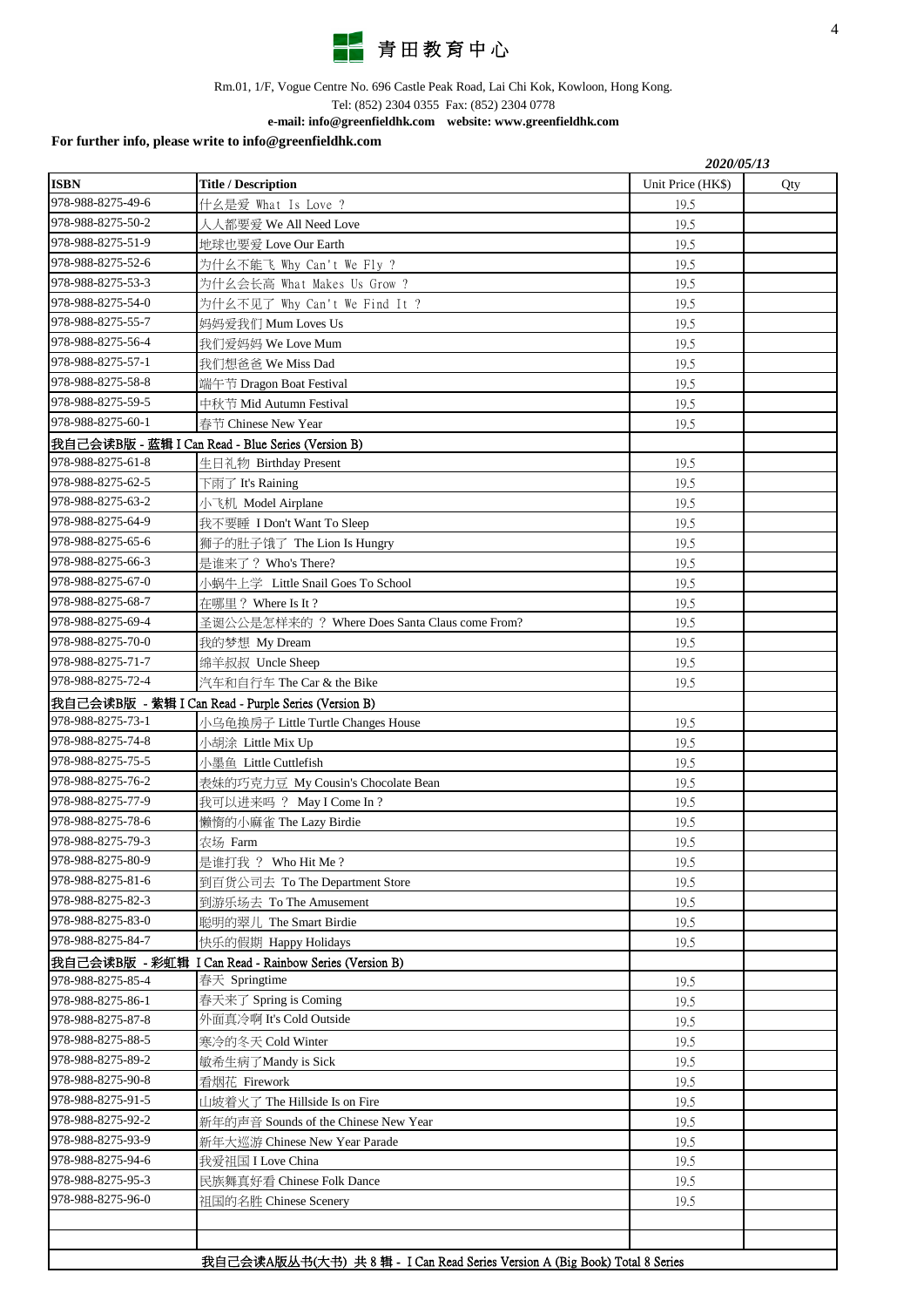

#### **e-mail: info@greenfieldhk.com website: www.greenfieldhk.com**

|                   |                                                                             | 2020/05/13        |     |
|-------------------|-----------------------------------------------------------------------------|-------------------|-----|
| <b>ISBN</b>       | <b>Title / Description</b>                                                  | Unit Price (HK\$) | Qty |
| 978-988-8275-49-6 | 什幺是爱 What Is Love ?                                                         | 19.5              |     |
| 978-988-8275-50-2 | 人人都要爱 We All Need Love                                                      | 19.5              |     |
| 978-988-8275-51-9 | 地球也要爱 Love Our Earth                                                        | 19.5              |     |
| 978-988-8275-52-6 | 为什么不能飞 Why Can't We Fly ?                                                   | 19.5              |     |
| 978-988-8275-53-3 | 为什幺会长高 What Makes Us Grow ?                                                 | 19.5              |     |
| 978-988-8275-54-0 | 为什么不见了 Why Can't We Find It ?                                               | 19.5              |     |
| 978-988-8275-55-7 | 妈妈爱我们 Mum Loves Us                                                          | 19.5              |     |
| 978-988-8275-56-4 | 我们爱妈妈 We Love Mum                                                           | 19.5              |     |
| 978-988-8275-57-1 | 我们想爸爸 We Miss Dad                                                           | 19.5              |     |
| 978-988-8275-58-8 | 端午节 Dragon Boat Festival                                                    | 19.5              |     |
| 978-988-8275-59-5 | 中秋节 Mid Autumn Festival                                                     | 19.5              |     |
| 978-988-8275-60-1 | 春节 Chinese New Year                                                         | 19.5              |     |
|                   | 我自己会读B版 - 蓝辑 I Can Read - Blue Series (Version B)                           |                   |     |
| 978-988-8275-61-8 | 生日礼物 Birthday Present                                                       | 19.5              |     |
| 978-988-8275-62-5 | 下雨了 It's Raining                                                            | 19.5              |     |
| 978-988-8275-63-2 | 小飞机 Model Airplane                                                          | 19.5              |     |
| 978-988-8275-64-9 | 我不要睡 I Don't Want To Sleep                                                  | 19.5              |     |
| 978-988-8275-65-6 | 狮子的肚子饿了 The Lion Is Hungry                                                  | 19.5              |     |
| 978-988-8275-66-3 | 是谁来了? Who's There?                                                          | 19.5              |     |
| 978-988-8275-67-0 | 小蜗牛上学 Little Snail Goes To School                                           | 19.5              |     |
| 978-988-8275-68-7 | 在哪里? Where Is It?                                                           | 19.5              |     |
| 978-988-8275-69-4 | 圣诞公公是怎样来的 ? Where Does Santa Claus come From?                               | 19.5              |     |
| 978-988-8275-70-0 | 我的梦想 My Dream                                                               | 19.5              |     |
| 978-988-8275-71-7 | 绵羊叔叔 Uncle Sheep                                                            | 19.5              |     |
| 978-988-8275-72-4 | 汽车和自行车 The Car & the Bike                                                   | 19.5              |     |
|                   | 我自己会读B版 - 紫辑 I Can Read - Purple Series (Version B)                         |                   |     |
| 978-988-8275-73-1 |                                                                             |                   |     |
| 978-988-8275-74-8 | 小乌龟换房子 Little Turtle Changes House                                          | 19.5              |     |
| 978-988-8275-75-5 | 小胡涂 Little Mix Up                                                           | 19.5              |     |
| 978-988-8275-76-2 | 小墨鱼 Little Cuttlefish                                                       | 19.5              |     |
|                   | 表妹的巧克力豆 My Cousin's Chocolate Bean                                          | 19.5              |     |
| 978-988-8275-77-9 | 我可以进来吗 ? May I Come In ?                                                    | 19.5              |     |
| 978-988-8275-78-6 | 懒惰的小麻雀 The Lazy Birdie                                                      | 19.5              |     |
| 978-988-8275-79-3 | 农场 Farm                                                                     | 19.5              |     |
| 978-988-8275-80-9 | 是谁打我 ? Who Hit Me ?                                                         | 19.5              |     |
| 978-988-8275-81-6 | 到百货公司去 To The Department Store                                              | 19.5              |     |
| 978-988-8275-82-3 | 到游乐场去 To The Amusement                                                      | 19.5              |     |
| 978-988-8275-83-0 | 聪明的翠儿 The Smart Birdie                                                      | 19.5              |     |
| 978-988-8275-84-7 | 快乐的假期 Happy Holidays                                                        | 19.5              |     |
|                   | 我自己会读B版 - 彩虹辑 I Can Read - Rainbow Series (Version B)                       |                   |     |
| 978-988-8275-85-4 | 春天 Springtime                                                               | 19.5              |     |
| 978-988-8275-86-1 | 春天来了 Spring is Coming                                                       | 19.5              |     |
| 978-988-8275-87-8 | 外面真冷啊 It's Cold Outside                                                     | 19.5              |     |
| 978-988-8275-88-5 | 寒冷的冬天 Cold Winter                                                           | 19.5              |     |
| 978-988-8275-89-2 | 敏希生病了Mandy is Sick                                                          | 19.5              |     |
| 978-988-8275-90-8 | 看烟花 Firework                                                                | 19.5              |     |
| 978-988-8275-91-5 | 山坡着火了 The Hillside Is on Fire                                               | 19.5              |     |
| 978-988-8275-92-2 | 新年的声音 Sounds of the Chinese New Year                                        | 19.5              |     |
| 978-988-8275-93-9 | 新年大巡游 Chinese New Year Parade                                               | 19.5              |     |
| 978-988-8275-94-6 | 我爱祖国 I Love China                                                           | 19.5              |     |
| 978-988-8275-95-3 | 民族舞真好看 Chinese Folk Dance                                                   | 19.5              |     |
| 978-988-8275-96-0 | 祖国的名胜 Chinese Scenery                                                       | 19.5              |     |
|                   |                                                                             |                   |     |
|                   |                                                                             |                   |     |
|                   | 我自己会读A版丛书(大书) 共 8 辑 - I Can Read Series Version A (Big Book) Total 8 Series |                   |     |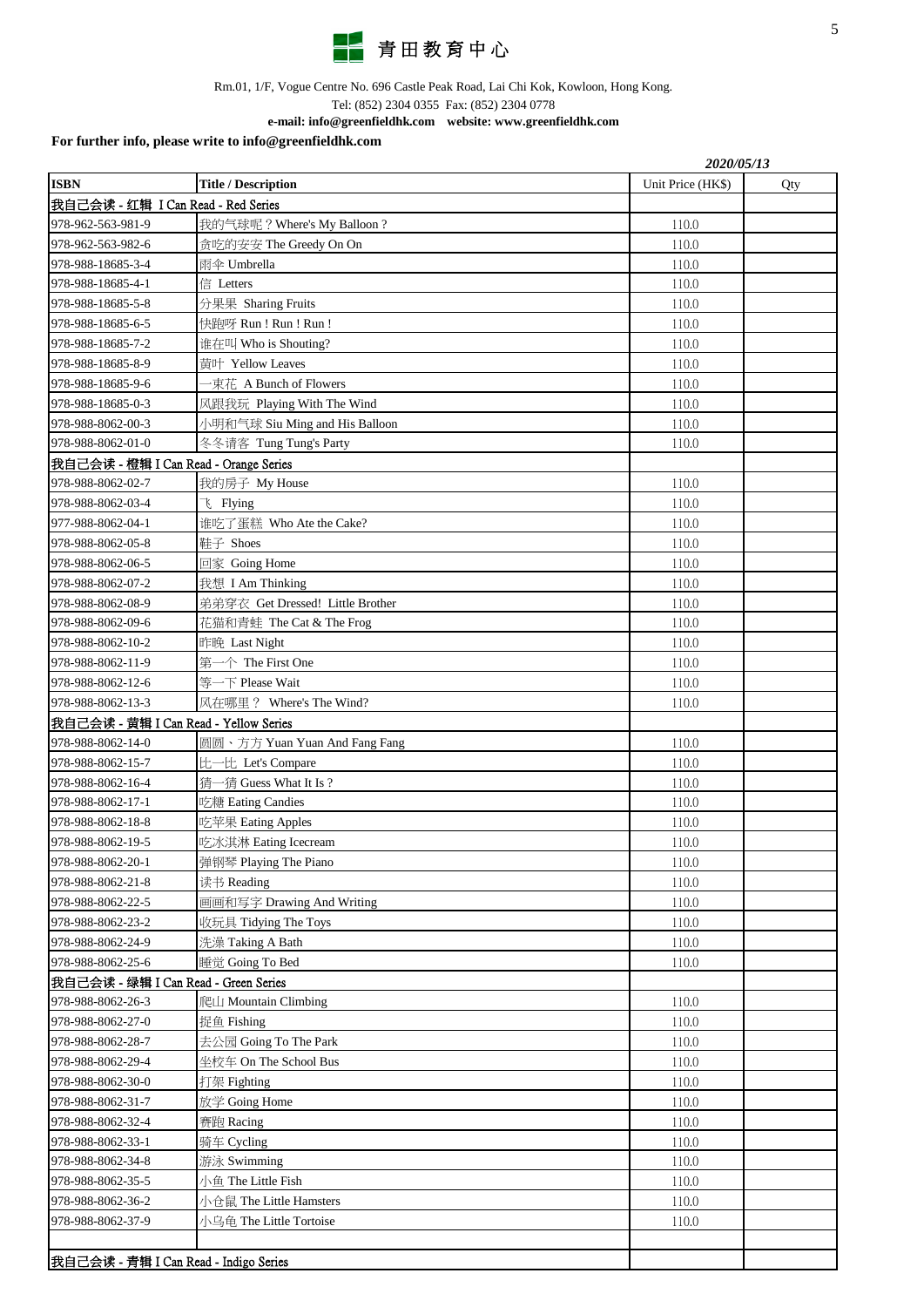

#### **e-mail: info@greenfieldhk.com website: www.greenfieldhk.com**

|                                       |                                  | 2020/05/13        |     |
|---------------------------------------|----------------------------------|-------------------|-----|
| <b>ISBN</b>                           | <b>Title / Description</b>       | Unit Price (HK\$) | Qty |
| 我自己会读 - 红辑 I Can Read - Red Series    |                                  |                   |     |
| 978-962-563-981-9                     | 我的气球呢? Where's My Balloon?       | 110.0             |     |
| 978-962-563-982-6                     | 贪吃的安安 The Greedy On On           | 110.0             |     |
| 978-988-18685-3-4                     | 雨伞 Umbrella                      | 110.0             |     |
| 978-988-18685-4-1                     | 信 Letters                        | 110.0             |     |
| 978-988-18685-5-8                     | 分果果 Sharing Fruits               | 110.0             |     |
| 978-988-18685-6-5                     | 快跑呀 Run ! Run ! Run !            | 110.0             |     |
| 978-988-18685-7-2                     | 谁在叫 Who is Shouting?             | 110.0             |     |
| 978-988-18685-8-9                     | 黄叶 Yellow Leaves                 | 110.0             |     |
| 978-988-18685-9-6                     | ·束花 A Bunch of Flowers           | 110.0             |     |
| 978-988-18685-0-3                     | 风跟我玩 Playing With The Wind       | 110.0             |     |
| 978-988-8062-00-3                     | 小明和气球 Siu Ming and His Balloon   | 110.0             |     |
| 978-988-8062-01-0                     | 冬冬请客 Tung Tung's Party           | 110.0             |     |
| 我自己会读 - 橙辑 I Can Read - Orange Series |                                  |                   |     |
| 978-988-8062-02-7                     | 我的房子 My House                    | 110.0             |     |
| 978-988-8062-03-4                     | 飞 Flying                         | 110.0             |     |
| 977-988-8062-04-1                     | 谁吃了蛋糕 Who Ate the Cake?          | 110.0             |     |
| 978-988-8062-05-8                     | 鞋子 Shoes                         | 110.0             |     |
| 978-988-8062-06-5                     | 回家 Going Home                    | 110.0             |     |
| 978-988-8062-07-2                     | 我想 I Am Thinking                 | 110.0             |     |
| 978-988-8062-08-9                     | 弟弟穿衣 Get Dressed! Little Brother | 110.0             |     |
| 978-988-8062-09-6                     | 花猫和青蛙 The Cat & The Frog         | 110.0             |     |
| 978-988-8062-10-2                     | 昨晚 Last Night                    | 110.0             |     |
| 978-988-8062-11-9                     | 第一个 The First One                | 110.0             |     |
| 978-988-8062-12-6                     | 等一下 Please Wait                  | 110.0             |     |
| 978-988-8062-13-3                     | 风在哪里? Where's The Wind?          | 110.0             |     |
| 我自己会读 - 黄辑 I Can Read - Yellow Series |                                  |                   |     |
| 978-988-8062-14-0                     | 圆圆、方方 Yuan Yuan And Fang Fang    | 110.0             |     |
| 978-988-8062-15-7                     | 比一比 Let's Compare                | 110.0             |     |
| 978-988-8062-16-4                     | 猜一猜 Guess What It Is?            | 110.0             |     |
| 978-988-8062-17-1                     | 吃糖 Eating Candies                | 110.0             |     |
| 978-988-8062-18-8                     | 吃苹果 Eating Apples                | 110.0             |     |
| 978-988-8062-19-5                     | 吃冰淇淋 Eating Icecream             | 110.0             |     |
| 978-988-8062-20-1                     | 弹钢琴 Playing The Piano            | 110.0             |     |
| 978-988-8062-21-8                     | 读书 Reading                       | 110.0             |     |
| 978-988-8062-22-5                     | 画画和写字 Drawing And Writing        | 110.0             |     |
| 978-988-8062-23-2                     | 收玩具 Tidying The Toys             | 110.0             |     |
| 978-988-8062-24-9                     | 洗澡 Taking A Bath                 | 110.0             |     |
| 978-988-8062-25-6                     | 睡觉 Going To Bed                  | 110.0             |     |
| 我自己会读 - 绿辑 I Can Read - Green Series  |                                  |                   |     |
| 978-988-8062-26-3                     | 爬山 Mountain Climbing             | 110.0             |     |
| 978-988-8062-27-0                     | 捉鱼 Fishing                       | 110.0             |     |
| 978-988-8062-28-7                     | 去公园 Going To The Park            | 110.0             |     |
| 978-988-8062-29-4                     | 坐校车 On The School Bus            | 110.0             |     |
| 978-988-8062-30-0                     | 打架 Fighting                      | 110.0             |     |
| 978-988-8062-31-7                     | 放学 Going Home                    | 110.0             |     |
| 978-988-8062-32-4                     | 赛跑 Racing                        | 110.0             |     |
| 978-988-8062-33-1                     | 骑车 Cycling                       | 110.0             |     |
| 978-988-8062-34-8                     | 游泳 Swimming                      | 110.0             |     |
| 978-988-8062-35-5                     | 小鱼 The Little Fish               | 110.0             |     |
| 978-988-8062-36-2                     | 小仓鼠 The Little Hamsters          | 110.0             |     |
| 978-988-8062-37-9                     | 小乌龟 The Little Tortoise          | 110.0             |     |
|                                       |                                  |                   |     |
| 我自己会读 - 青辑 I Can Read - Indigo Series |                                  |                   |     |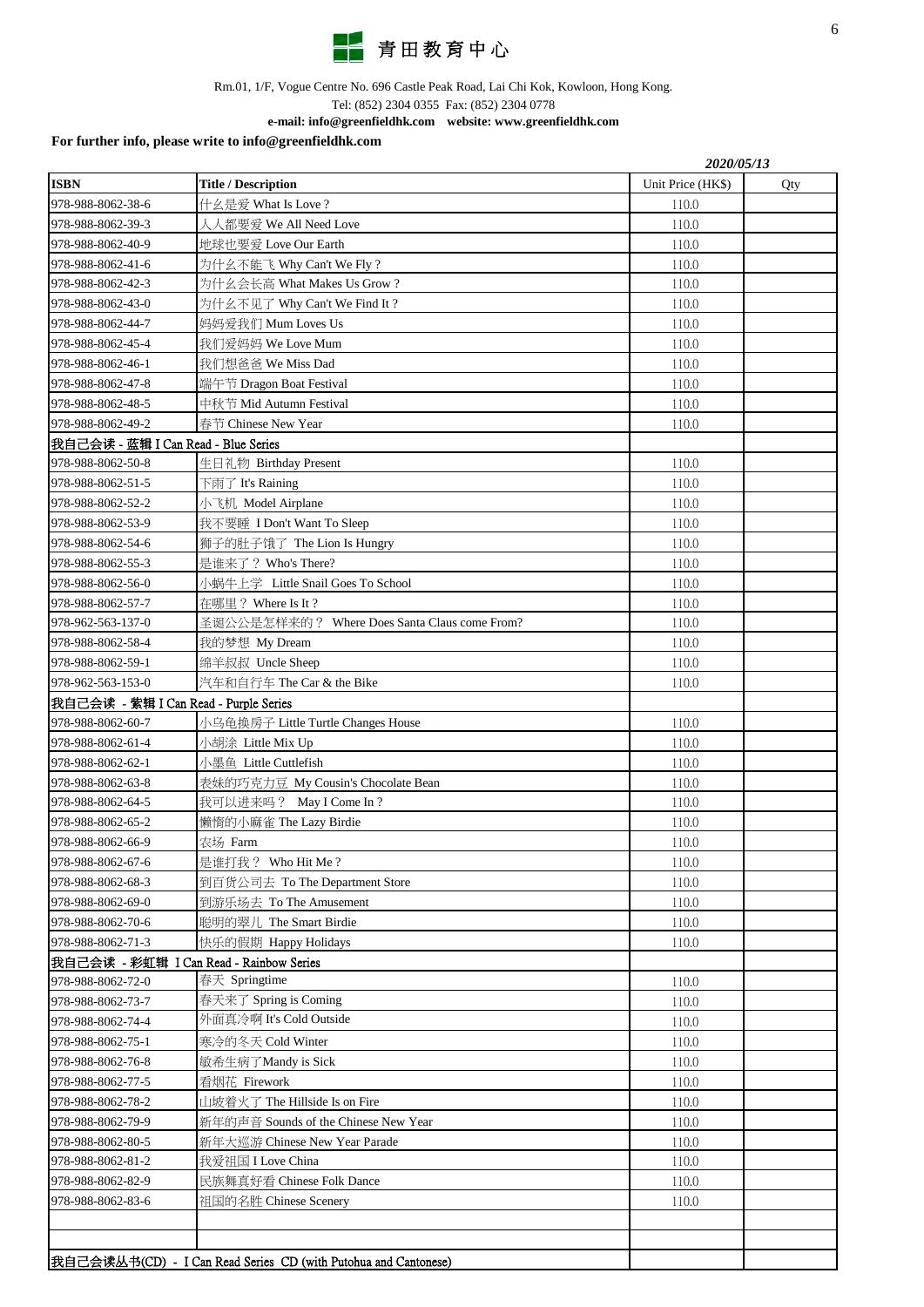

**e-mail: info@greenfieldhk.com website: www.greenfieldhk.com**

|                                       |                                                                 | 2020/05/13        |     |
|---------------------------------------|-----------------------------------------------------------------|-------------------|-----|
| <b>ISBN</b>                           | <b>Title / Description</b>                                      | Unit Price (HK\$) | Qty |
| 978-988-8062-38-6                     | 什么是爱 What Is Love?                                              | 110.0             |     |
| 978-988-8062-39-3                     | 人人都要爱 We All Need Love                                          | 110.0             |     |
| 978-988-8062-40-9                     | 地球也要爱 Love Our Earth                                            | 110.0             |     |
| 978-988-8062-41-6                     | 为什么不能飞 Why Can't We Fly?                                        | 110.0             |     |
| 978-988-8062-42-3                     | 为什么会长高 What Makes Us Grow?                                      | 110.0             |     |
| 978-988-8062-43-0                     | 为什么不见了 Why Can't We Find It ?                                   | 110.0             |     |
| 978-988-8062-44-7                     | 妈妈爱我们 Mum Loves Us                                              | 110.0             |     |
| 978-988-8062-45-4                     | 我们爱妈妈 We Love Mum                                               | 110.0             |     |
| 978-988-8062-46-1                     | 我们想爸爸 We Miss Dad                                               | 110.0             |     |
| 978-988-8062-47-8                     | 端午节 Dragon Boat Festival                                        | 110.0             |     |
| 978-988-8062-48-5                     | 中秋节 Mid Autumn Festival                                         | 110.0             |     |
| 978-988-8062-49-2                     | 春节 Chinese New Year                                             | 110.0             |     |
| 我自己会读 - 蓝辑 I Can Read - Blue Series   |                                                                 |                   |     |
| 978-988-8062-50-8                     | 生日礼物 Birthday Present                                           | 110.0             |     |
| 978-988-8062-51-5                     | 下雨了 It's Raining                                                | 110.0             |     |
| 978-988-8062-52-2                     | 小飞机 Model Airplane                                              | 110.0             |     |
| 978-988-8062-53-9                     | 我不要睡 I Don't Want To Sleep                                      | 110.0             |     |
| 978-988-8062-54-6                     | 狮子的肚子饿了 The Lion Is Hungry                                      | 110.0             |     |
| 978-988-8062-55-3                     | 是谁来了? Who's There?                                              | 110.0             |     |
| 978-988-8062-56-0                     | 小蜗牛上学 Little Snail Goes To School                               | 110.0             |     |
| 978-988-8062-57-7                     | 在哪里? Where Is It?                                               | 110.0             |     |
| 978-962-563-137-0                     | 圣诞公公是怎样来的? Where Does Santa Claus come From?                    | 110.0             |     |
| 978-988-8062-58-4                     | 我的梦想 My Dream                                                   | 110.0             |     |
| 978-988-8062-59-1                     | 绵羊叔叔 Uncle Sheep                                                | 110.0             |     |
| 978-962-563-153-0                     | 汽车和自行车 The Car & the Bike                                       | 110.0             |     |
| 我自己会读 - 紫辑 I Can Read - Purple Series |                                                                 |                   |     |
| 978-988-8062-60-7                     | 小乌龟换房子 Little Turtle Changes House                              | 110.0             |     |
| 978-988-8062-61-4                     | 小胡涂 Little Mix Up                                               | 110.0             |     |
| 978-988-8062-62-1                     | 小墨鱼 Little Cuttlefish                                           | 110.0             |     |
| 978-988-8062-63-8                     | 表妹的巧克力豆 My Cousin's Chocolate Bean                              | 110.0             |     |
| 978-988-8062-64-5                     | 我可以进来吗? May I Come In ?                                         | 110.0             |     |
| 978-988-8062-65-2                     | 懒惰的小麻雀 The Lazy Birdie                                          | 110.0             |     |
| 978-988-8062-66-9                     | 农场 Farm                                                         | 110.0             |     |
| 978-988-8062-67-6                     | 是谁打我? Who Hit Me?                                               | 110.0             |     |
| 978-988-8062-68-3                     | 到百货公司去 To The Department Store                                  | 110.0             |     |
| 978-988-8062-69-0                     | 到游乐场去 To The Amusement                                          | 110.0             |     |
| 978-988-8062-70-6                     | 聪明的翠儿 The Smart Birdie                                          | 110.0             |     |
| 978-988-8062-71-3                     | 快乐的假期 Happy Holidays                                            | 110.0             |     |
|                                       | 我自己会读 - 彩虹辑 I Can Read - Rainbow Series                         |                   |     |
| 978-988-8062-72-0                     | 春天 Springtime                                                   | 110.0             |     |
| 978-988-8062-73-7                     | 春天来了 Spring is Coming                                           | 110.0             |     |
| 978-988-8062-74-4                     | 外面真冷啊 It's Cold Outside                                         | 110.0             |     |
| 978-988-8062-75-1                     | 寒冷的冬天 Cold Winter                                               | 110.0             |     |
| 978-988-8062-76-8                     | 敏希生病了Mandy is Sick                                              | 110.0             |     |
| 978-988-8062-77-5                     | 看烟花 Firework                                                    | 110.0             |     |
| 978-988-8062-78-2                     | 山坡着火了 The Hillside Is on Fire                                   | 110.0             |     |
| 978-988-8062-79-9                     | 新年的声音 Sounds of the Chinese New Year                            | 110.0             |     |
| 978-988-8062-80-5                     | 新年大巡游 Chinese New Year Parade                                   | 110.0             |     |
| 978-988-8062-81-2                     | 我爱祖国 I Love China                                               | 110.0             |     |
| 978-988-8062-82-9                     | 民族舞真好看 Chinese Folk Dance                                       | 110.0             |     |
| 978-988-8062-83-6                     | 祖国的名胜 Chinese Scenery                                           | 110.0             |     |
|                                       |                                                                 |                   |     |
|                                       |                                                                 |                   |     |
|                                       | 我自己会读丛书(CD) - I Can Read Series CD (with Putohua and Cantonese) |                   |     |
|                                       |                                                                 |                   |     |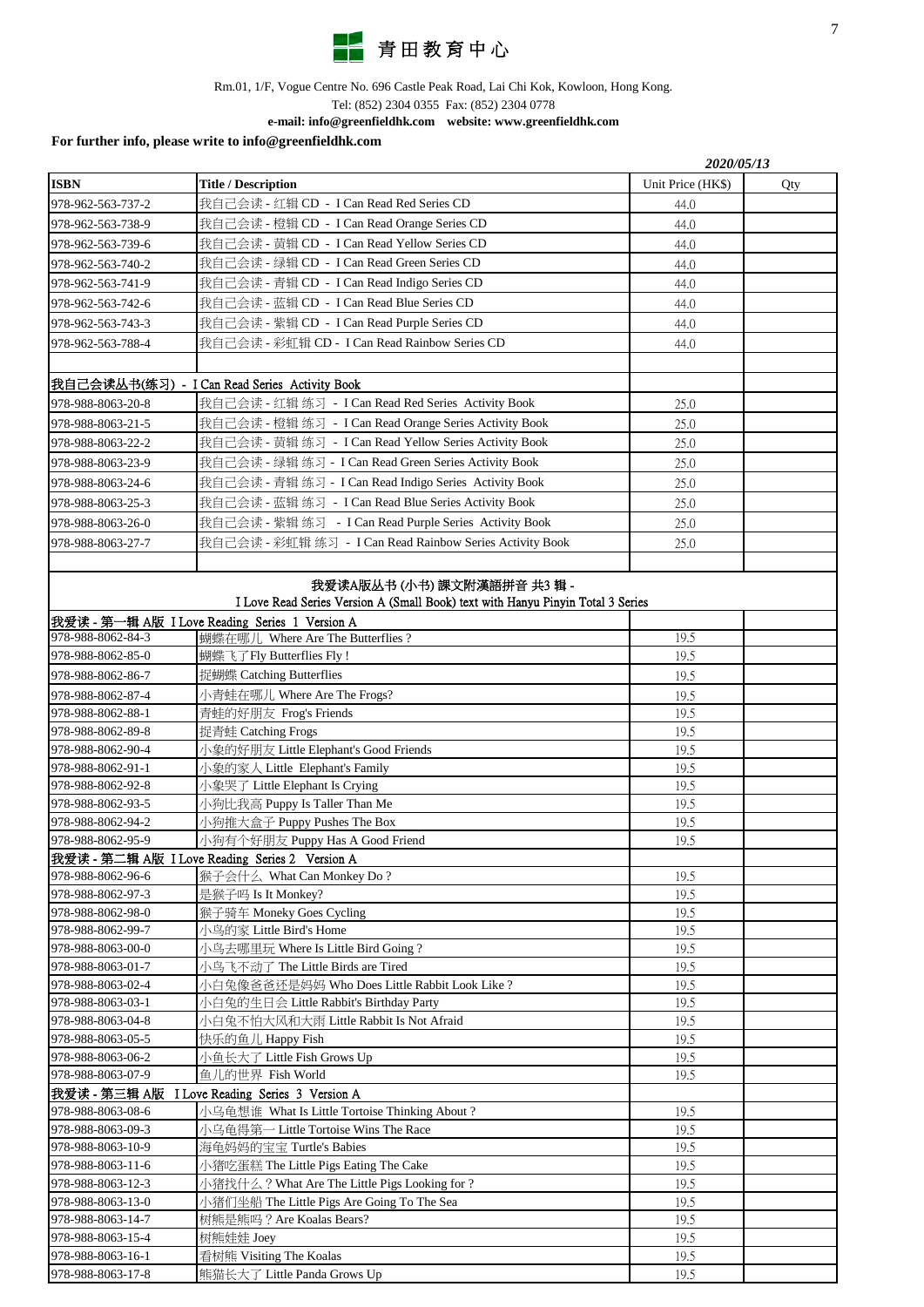

#### **e-mail: info@greenfieldhk.com website: www.greenfieldhk.com**

|                   |                                                                                 | 2020/05/13        |     |
|-------------------|---------------------------------------------------------------------------------|-------------------|-----|
| <b>ISBN</b>       | <b>Title / Description</b>                                                      | Unit Price (HK\$) | Qty |
| 978-962-563-737-2 | 我自己会读 - 红辑 CD - I Can Read Red Series CD                                        | 44.0              |     |
| 978-962-563-738-9 | 我自己会读 - 橙辑 CD - I Can Read Orange Series CD                                     | 44.0              |     |
| 978-962-563-739-6 | 我自己会读 - 黄辑 CD - I Can Read Yellow Series CD                                     | 44.0              |     |
| 978-962-563-740-2 | 我自己会读 - 绿辑 CD - I Can Read Green Series CD                                      | 44.0              |     |
| 978-962-563-741-9 | 我自己会读 - 青辑 CD - I Can Read Indigo Series CD                                     | 44.0              |     |
| 978-962-563-742-6 | 我自己会读 - 蓝辑 CD - I Can Read Blue Series CD                                       | 44.0              |     |
|                   | 我自己会读 - 紫辑 CD - I Can Read Purple Series CD                                     |                   |     |
| 978-962-563-743-3 |                                                                                 | 44.0              |     |
| 978-962-563-788-4 | 我自己会读 - 彩虹辑 CD - I Can Read Rainbow Series CD                                   | 44.0              |     |
|                   |                                                                                 |                   |     |
|                   | 我自己会读丛书(练习) - I Can Read Series Activity Book                                   |                   |     |
| 978-988-8063-20-8 | 我自己会读 - 红辑 练习 - I Can Read Red Series Activity Book                             | 25.0              |     |
| 978-988-8063-21-5 | 我自己会读 - 橙辑 练习 - I Can Read Orange Series Activity Book                          | 25.0              |     |
| 978-988-8063-22-2 | 我自己会读 - 黄辑 练习 - I Can Read Yellow Series Activity Book                          | 25.0              |     |
| 978-988-8063-23-9 | 我自己会读 - 绿辑 练习 - I Can Read Green Series Activity Book                           | 25.0              |     |
| 978-988-8063-24-6 | 我自己会读 - 青辑 练习 - I Can Read Indigo Series Activity Book                          | 25.0              |     |
| 978-988-8063-25-3 | 我自己会读 - 蓝辑 练习 - I Can Read Blue Series Activity Book                            | 25.0              |     |
| 978-988-8063-26-0 | 我自己会读 - 紫辑 练习 - I Can Read Purple Series Activity Book                          | 25.0              |     |
|                   | 我自己会读 - 彩虹辑 练习 - I Can Read Rainbow Series Activity Book                        |                   |     |
| 978-988-8063-27-7 |                                                                                 | 25.0              |     |
|                   |                                                                                 |                   |     |
|                   | 我爱读A版丛书(小书)課文附漢語拼音 共3 辑 -                                                       |                   |     |
|                   | I Love Read Series Version A (Small Book) text with Hanyu Pinyin Total 3 Series |                   |     |
|                   | 我爱读 - 第一辑 A版 I Love Reading Series 1 Version A                                  |                   |     |
| 978-988-8062-84-3 | 蝴蝶在哪儿 Where Are The Butterflies?                                                | 19.5              |     |
| 978-988-8062-85-0 | 蝴蝶飞了Fly Butterflies Fly!                                                        | 19.5              |     |
| 978-988-8062-86-7 | 捉蝴蝶 Catching Butterflies                                                        | 19.5              |     |
| 978-988-8062-87-4 | 小青蛙在哪儿 Where Are The Frogs?                                                     | 19.5              |     |
| 978-988-8062-88-1 | 青蛙的好朋友 Frog's Friends                                                           | 19.5              |     |
| 978-988-8062-89-8 | 捉青蛙 Catching Frogs                                                              | 19.5              |     |
| 978-988-8062-90-4 | 小象的好朋友 Little Elephant's Good Friends                                           | 19.5              |     |
| 978-988-8062-91-1 | 小象的家人 Little Elephant's Family                                                  | 19.5              |     |
| 978-988-8062-92-8 | 小象哭了 Little Elephant Is Crying                                                  | 19.5              |     |
| 978-988-8062-93-5 | 小狗比我高 Puppy Is Taller Than Me<br>小狗推大盒子 Puppy Pushes The Box                    | 19.5              |     |
| 978-988-8062-94-2 | 小狗有个好朋友 Puppy Has A Good Friend                                                 | 19.5<br>19.5      |     |
| 978-988-8062-95-9 | 我爱读 - 第二辑 A版 I Love Reading Series 2 Version A                                  |                   |     |
| 978-988-8062-96-6 | 猴子会什么 What Can Monkey Do?                                                       | 19.5              |     |
| 978-988-8062-97-3 | 是猴子吗 Is It Monkey?                                                              | 19.5              |     |
| 978-988-8062-98-0 | 猴子骑车 Moneky Goes Cycling                                                        | 19.5              |     |
| 978-988-8062-99-7 | 小鸟的家 Little Bird's Home                                                         | 19.5              |     |
| 978-988-8063-00-0 | 小鸟去哪里玩 Where Is Little Bird Going?                                              | 19.5              |     |
| 978-988-8063-01-7 | 小鸟飞不动了 The Little Birds are Tired                                               | 19.5              |     |
| 978-988-8063-02-4 | 小白兔像爸爸还是妈妈 Who Does Little Rabbit Look Like?                                    | 19.5              |     |
| 978-988-8063-03-1 | 小白兔的生日会 Little Rabbit's Birthday Party                                          | 19.5              |     |
| 978-988-8063-04-8 | 小白兔不怕大风和大雨 Little Rabbit Is Not Afraid                                          | 19.5              |     |
| 978-988-8063-05-5 | 快乐的鱼儿 Happy Fish                                                                | 19.5              |     |
| 978-988-8063-06-2 | 小鱼长大了 Little Fish Grows Up                                                      | 19.5              |     |
| 978-988-8063-07-9 | 鱼儿的世界 Fish World                                                                | 19.5              |     |
|                   | 我爱读 - 第三辑 A版 I Love Reading Series 3 Version A                                  |                   |     |
| 978-988-8063-08-6 | 小乌龟想谁 What Is Little Tortoise Thinking About?                                   | 19.5              |     |
| 978-988-8063-09-3 | 小乌龟得第一 Little Tortoise Wins The Race                                            | 19.5              |     |
| 978-988-8063-10-9 | 海龟妈妈的宝宝 Turtle's Babies                                                         | 19.5              |     |
| 978-988-8063-11-6 | 小猪吃蛋糕 The Little Pigs Eating The Cake                                           | 19.5              |     |
| 978-988-8063-12-3 | 小猪找什么? What Are The Little Pigs Looking for?                                    | 19.5              |     |
| 978-988-8063-13-0 | 小猪们坐船 The Little Pigs Are Going To The Sea                                      | 19.5              |     |
| 978-988-8063-14-7 | 树熊是熊吗? Are Koalas Bears?                                                        | 19.5              |     |
| 978-988-8063-15-4 | 树熊娃娃 Joey                                                                       | 19.5              |     |
| 978-988-8063-16-1 | 看树熊 Visiting The Koalas                                                         | 19.5              |     |
| 978-988-8063-17-8 | 熊猫长大了 Little Panda Grows Up                                                     | 19.5              |     |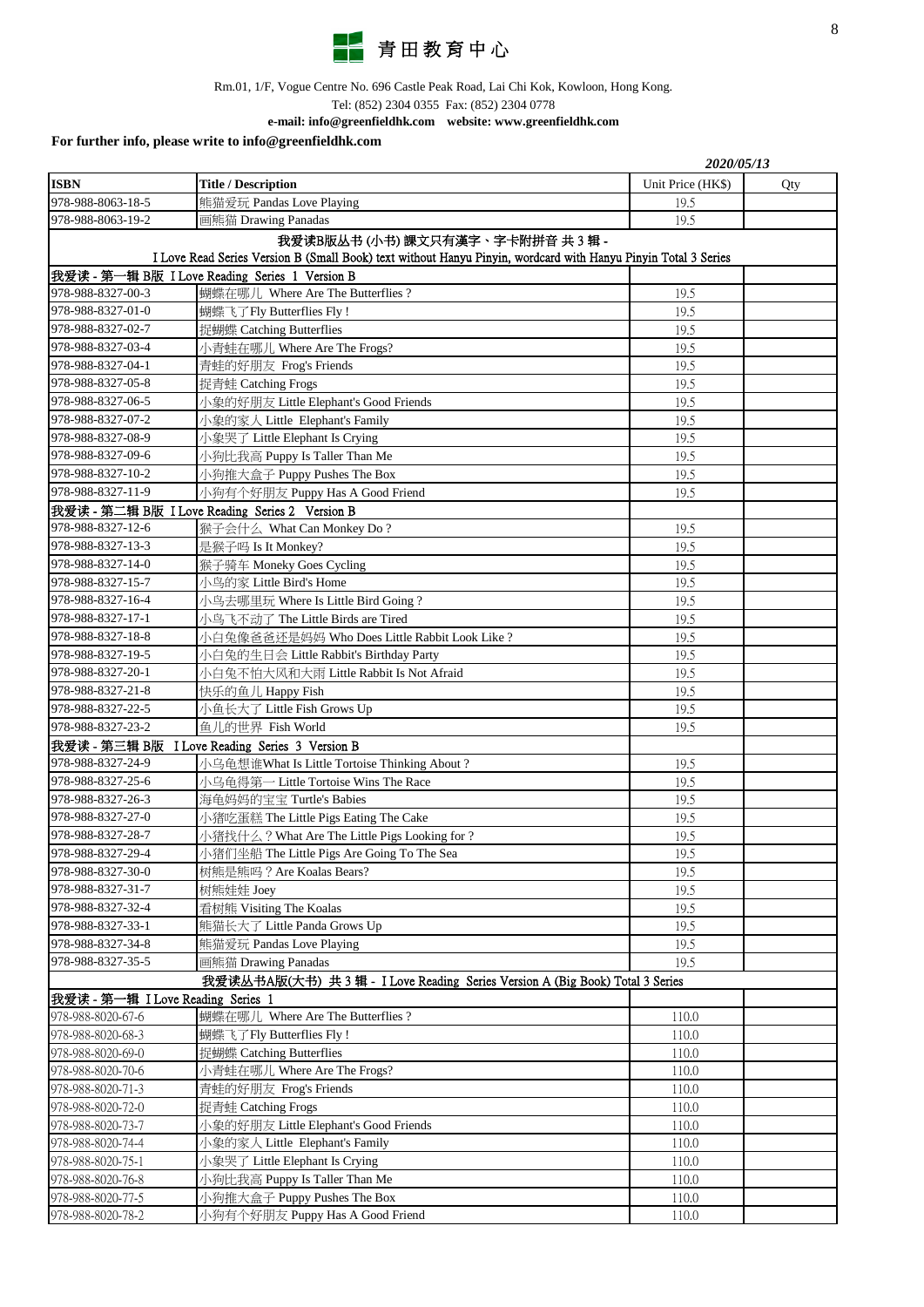

#### **e-mail: info@greenfieldhk.com website: www.greenfieldhk.com**

|                                   |                                                                                                                | 2020/05/13        |     |
|-----------------------------------|----------------------------------------------------------------------------------------------------------------|-------------------|-----|
| <b>ISBN</b>                       | <b>Title / Description</b>                                                                                     | Unit Price (HK\$) | Qty |
| 978-988-8063-18-5                 | 熊猫爱玩 Pandas Love Playing                                                                                       | 19.5              |     |
| 978-988-8063-19-2                 | 画熊猫 Drawing Panadas                                                                                            | 19.5              |     |
|                                   | 我爱读B版丛书 (小书) 課文只有漢字、字卡附拼音 共 3 辑 -                                                                              |                   |     |
|                                   | I Love Read Series Version B (Small Book) text without Hanyu Pinyin, wordcard with Hanyu Pinyin Total 3 Series |                   |     |
|                                   | 我爱读 - 第一辑 B版 I Love Reading Series 1 Version B                                                                 |                   |     |
| 978-988-8327-00-3                 | 蝴蝶在哪儿 Where Are The Butterflies?                                                                               | 19.5              |     |
| 978-988-8327-01-0                 | 蝴蝶飞了Fly Butterflies Fly!                                                                                       | 19.5              |     |
| 978-988-8327-02-7                 | 捉蝴蝶 Catching Butterflies                                                                                       | 19.5              |     |
| 978-988-8327-03-4                 | 小青蛙在哪儿 Where Are The Frogs?                                                                                    | 19.5              |     |
| 978-988-8327-04-1                 | 青蛙的好朋友 Frog's Friends                                                                                          | 19.5              |     |
| 978-988-8327-05-8                 | 捉青蛙 Catching Frogs                                                                                             | 19.5              |     |
| 978-988-8327-06-5                 | 小象的好朋友 Little Elephant's Good Friends                                                                          | 19.5              |     |
| 978-988-8327-07-2                 | 小象的家人 Little Elephant's Family                                                                                 | 19.5              |     |
| 978-988-8327-08-9                 | 小象哭了 Little Elephant Is Crying                                                                                 | 19.5              |     |
| 978-988-8327-09-6                 | 小狗比我高 Puppy Is Taller Than Me                                                                                  | 19.5              |     |
| 978-988-8327-10-2                 | 小狗推大盒子 Puppy Pushes The Box                                                                                    | 19.5              |     |
| 978-988-8327-11-9                 | 小狗有个好朋友 Puppy Has A Good Friend                                                                                | 19.5              |     |
|                                   | 我爱读 - 第二辑 B版 I Love Reading Series 2 Version B                                                                 |                   |     |
| 978-988-8327-12-6                 | 猴子会什么 What Can Monkey Do?                                                                                      | 19.5              |     |
| 978-988-8327-13-3                 | 是猴子吗 Is It Monkey?                                                                                             | 19.5              |     |
| 978-988-8327-14-0                 | 猴子骑车 Moneky Goes Cycling                                                                                       |                   |     |
| 978-988-8327-15-7                 | 小鸟的家 Little Bird's Home                                                                                        | 19.5<br>19.5      |     |
| 978-988-8327-16-4                 | 小鸟去哪里玩 Where Is Little Bird Going?                                                                             |                   |     |
|                                   |                                                                                                                | 19.5              |     |
| 978-988-8327-17-1                 | 小鸟飞不动了 The Little Birds are Tired                                                                              | 19.5              |     |
| 978-988-8327-18-8                 | 小白兔像爸爸还是妈妈 Who Does Little Rabbit Look Like?                                                                   | 19.5              |     |
| 978-988-8327-19-5                 | 小白兔的生日会 Little Rabbit's Birthday Party                                                                         | 19.5              |     |
| 978-988-8327-20-1                 | 小白兔不怕大风和大雨 Little Rabbit Is Not Afraid                                                                         | 19.5              |     |
| 978-988-8327-21-8                 | 快乐的鱼儿 Happy Fish                                                                                               | 19.5              |     |
| 978-988-8327-22-5                 | 小鱼长大了 Little Fish Grows Up                                                                                     | 19.5              |     |
| 978-988-8327-23-2                 | 鱼儿的世界 Fish World                                                                                               | 19.5              |     |
|                                   | 我爱读 - 第三辑 B版 I Love Reading Series 3 Version B                                                                 |                   |     |
| 978-988-8327-24-9                 | 小乌龟想谁What Is Little Tortoise Thinking About ?                                                                  | 19.5              |     |
| 978-988-8327-25-6                 | 小乌龟得第一 Little Tortoise Wins The Race                                                                           | 19.5              |     |
| 978-988-8327-26-3                 | 海龟妈妈的宝宝 Turtle's Babies                                                                                        | 19.5              |     |
| 978-988-8327-27-0                 | 小猪吃蛋糕 The Little Pigs Eating The Cake                                                                          | 19.5              |     |
| 978-988-8327-28-7                 | 小猪找什么? What Are The Little Pigs Looking for?                                                                   | 19.5              |     |
| 978-988-8327-29-4                 | 小猪们坐船 The Little Pigs Are Going To The Sea                                                                     | 19.5              |     |
| 978-988-8327-30-0                 | 树熊是熊吗? Are Koalas Bears?                                                                                       | 19.5              |     |
| 978-988-8327-31-7                 | 树熊娃娃 Joey                                                                                                      | 19.5              |     |
| 978-988-8327-32-4                 | 看树熊 Visiting The Koalas                                                                                        | 19.5              |     |
| 978-988-8327-33-1                 | 熊猫长大了 Little Panda Grows Up                                                                                    | 19.5              |     |
| 978-988-8327-34-8                 | 熊猫爱玩 Pandas Love Playing                                                                                       | 19.5              |     |
| 978-988-8327-35-5                 | 画熊猫 Drawing Panadas                                                                                            | 19.5              |     |
|                                   | 我爱读丛书A版(大书) 共 3 辑 - I Love Reading Series Version A (Big Book) Total 3 Series                                  |                   |     |
| 我爱读 - 第一辑 I Love Reading Series 1 |                                                                                                                |                   |     |
| 978-988-8020-67-6                 | 蝴蝶在哪儿 Where Are The Butterflies?                                                                               | 110.0             |     |
| 978-988-8020-68-3                 | 蝴蝶飞了Fly Butterflies Fly!                                                                                       | 110.0             |     |
| 978-988-8020-69-0                 | 捉蝴蝶 Catching Butterflies                                                                                       | 110.0             |     |
| 978-988-8020-70-6                 | 小青蛙在哪儿 Where Are The Frogs?                                                                                    | 110.0             |     |
| 978-988-8020-71-3                 | 青蛙的好朋友 Frog's Friends                                                                                          | 110.0             |     |
| 978-988-8020-72-0                 | 捉青蛙 Catching Frogs                                                                                             | 110.0             |     |
| 978-988-8020-73-7                 | 小象的好朋友 Little Elephant's Good Friends                                                                          | 110.0             |     |
| 978-988-8020-74-4                 | 小象的家人 Little Elephant's Family                                                                                 | 110.0             |     |
| 978-988-8020-75-1                 | 小象哭了 Little Elephant Is Crying                                                                                 | 110.0             |     |
| 978-988-8020-76-8                 | 小狗比我高 Puppy Is Taller Than Me                                                                                  | 110.0             |     |
| 978-988-8020-77-5                 | 小狗推大盒子 Puppy Pushes The Box                                                                                    | 110.0             |     |
| 978-988-8020-78-2                 | 小狗有个好朋友 Puppy Has A Good Friend                                                                                | 110.0             |     |